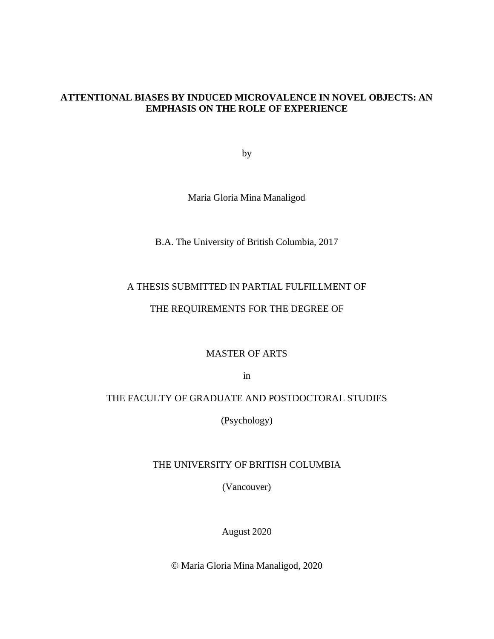# **ATTENTIONAL BIASES BY INDUCED MICROVALENCE IN NOVEL OBJECTS: AN EMPHASIS ON THE ROLE OF EXPERIENCE**

by

Maria Gloria Mina Manaligod

B.A. The University of British Columbia, 2017

# A THESIS SUBMITTED IN PARTIAL FULFILLMENT OF

# THE REQUIREMENTS FOR THE DEGREE OF

MASTER OF ARTS

in

# THE FACULTY OF GRADUATE AND POSTDOCTORAL STUDIES

(Psychology)

## THE UNIVERSITY OF BRITISH COLUMBIA

(Vancouver)

August 2020

© Maria Gloria Mina Manaligod, 2020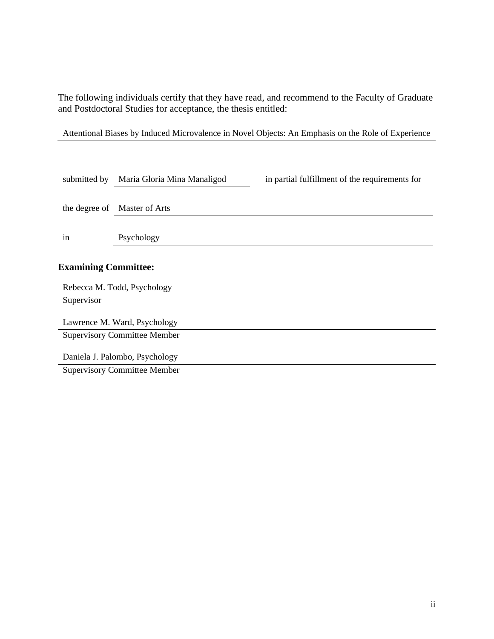The following individuals certify that they have read, and recommend to the Faculty of Graduate and Postdoctoral Studies for acceptance, the thesis entitled:

Attentional Biases by Induced Microvalence in Novel Objects: An Emphasis on the Role of Experience

| submitted by                 | Maria Gloria Mina Manaligod<br>in partial fulfillment of the requirements for |  |  |  |  |  |  |
|------------------------------|-------------------------------------------------------------------------------|--|--|--|--|--|--|
|                              | the degree of Master of Arts                                                  |  |  |  |  |  |  |
| in                           | Psychology                                                                    |  |  |  |  |  |  |
|                              | <b>Examining Committee:</b><br>Rebecca M. Todd, Psychology                    |  |  |  |  |  |  |
| Supervisor                   |                                                                               |  |  |  |  |  |  |
| Lawrence M. Ward, Psychology |                                                                               |  |  |  |  |  |  |
|                              | <b>Supervisory Committee Member</b>                                           |  |  |  |  |  |  |
|                              | Daniela J. Palombo, Psychology                                                |  |  |  |  |  |  |
|                              | <b>Supervisory Committee Member</b>                                           |  |  |  |  |  |  |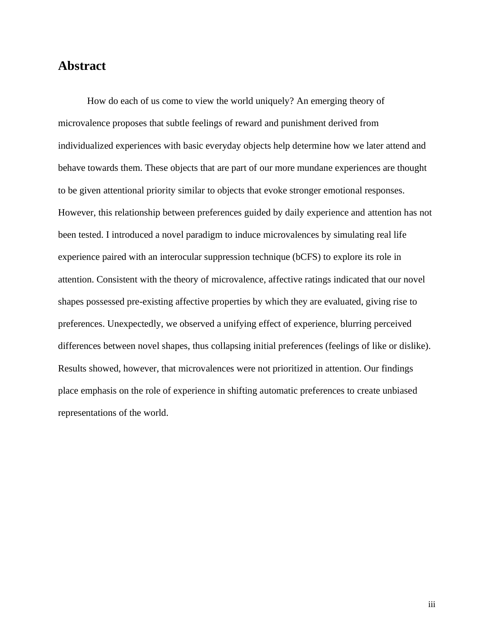# <span id="page-2-0"></span>**Abstract**

How do each of us come to view the world uniquely? An emerging theory of microvalence proposes that subtle feelings of reward and punishment derived from individualized experiences with basic everyday objects help determine how we later attend and behave towards them. These objects that are part of our more mundane experiences are thought to be given attentional priority similar to objects that evoke stronger emotional responses. However, this relationship between preferences guided by daily experience and attention has not been tested. I introduced a novel paradigm to induce microvalences by simulating real life experience paired with an interocular suppression technique (bCFS) to explore its role in attention. Consistent with the theory of microvalence, affective ratings indicated that our novel shapes possessed pre-existing affective properties by which they are evaluated, giving rise to preferences. Unexpectedly, we observed a unifying effect of experience, blurring perceived differences between novel shapes, thus collapsing initial preferences (feelings of like or dislike). Results showed, however, that microvalences were not prioritized in attention. Our findings place emphasis on the role of experience in shifting automatic preferences to create unbiased representations of the world.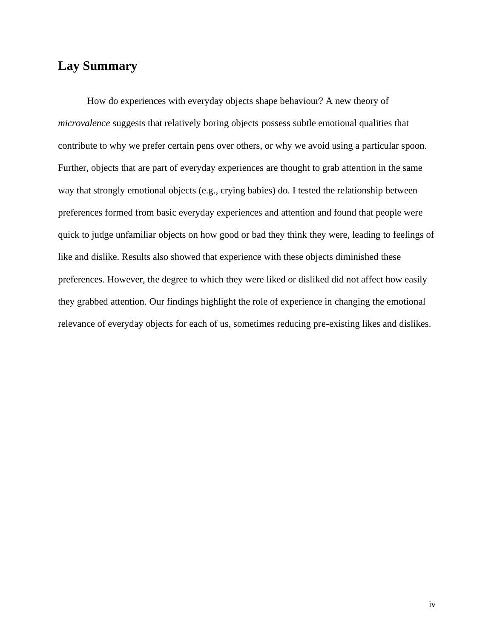# <span id="page-3-0"></span>**Lay Summary**

How do experiences with everyday objects shape behaviour? A new theory of *microvalence* suggests that relatively boring objects possess subtle emotional qualities that contribute to why we prefer certain pens over others, or why we avoid using a particular spoon. Further, objects that are part of everyday experiences are thought to grab attention in the same way that strongly emotional objects (e.g., crying babies) do. I tested the relationship between preferences formed from basic everyday experiences and attention and found that people were quick to judge unfamiliar objects on how good or bad they think they were, leading to feelings of like and dislike. Results also showed that experience with these objects diminished these preferences. However, the degree to which they were liked or disliked did not affect how easily they grabbed attention. Our findings highlight the role of experience in changing the emotional relevance of everyday objects for each of us, sometimes reducing pre-existing likes and dislikes.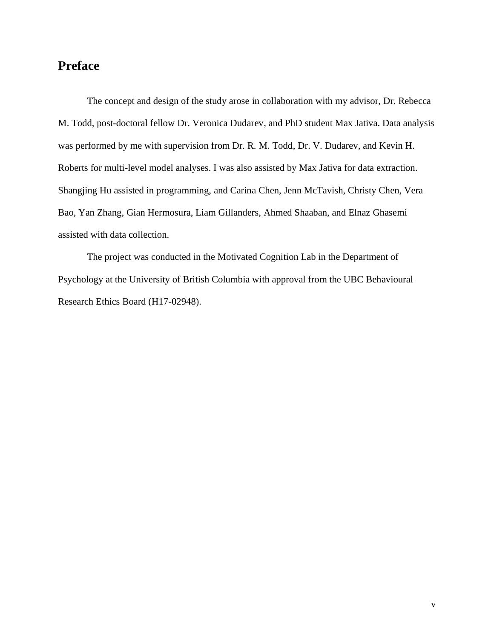# <span id="page-4-0"></span>**Preface**

The concept and design of the study arose in collaboration with my advisor, Dr. Rebecca M. Todd, post-doctoral fellow Dr. Veronica Dudarev, and PhD student Max Jativa. Data analysis was performed by me with supervision from Dr. R. M. Todd, Dr. V. Dudarev, and Kevin H. Roberts for multi-level model analyses. I was also assisted by Max Jativa for data extraction. Shangjing Hu assisted in programming, and Carina Chen, Jenn McTavish, Christy Chen, Vera Bao, Yan Zhang, Gian Hermosura, Liam Gillanders, Ahmed Shaaban, and Elnaz Ghasemi assisted with data collection.

The project was conducted in the Motivated Cognition Lab in the Department of Psychology at the University of British Columbia with approval from the UBC Behavioural Research Ethics Board (H17-02948).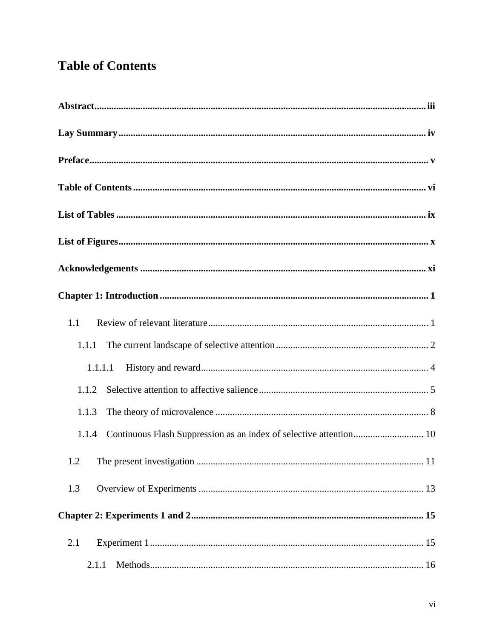# <span id="page-5-0"></span>**Table of Contents**

| 1.1                                                                      |
|--------------------------------------------------------------------------|
| 1.1.1                                                                    |
| 1.1.1.1                                                                  |
| 1.1.2                                                                    |
| 1.1.3                                                                    |
| 1.1.4 Continuous Flash Suppression as an index of selective attention 10 |
|                                                                          |
| 1.3                                                                      |
|                                                                          |
| 2.1                                                                      |
| 2.1.1                                                                    |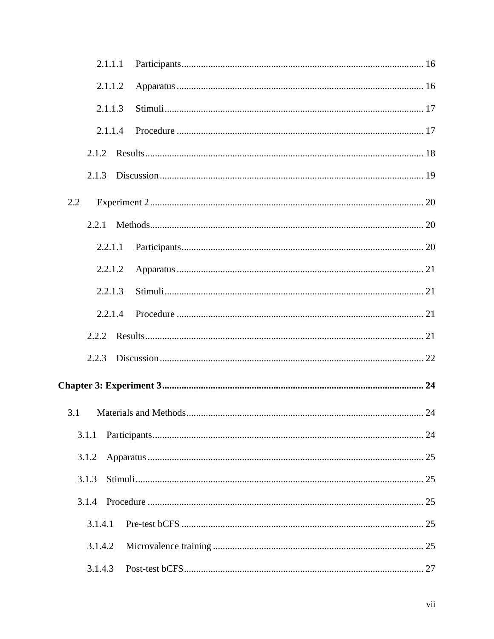| 2.1.1.1 |  |
|---------|--|
| 2.1.1.2 |  |
| 2.1.1.3 |  |
| 2.1.1.4 |  |
|         |  |
| 2.1.3   |  |
| 2.2     |  |
|         |  |
| 2.2.1.1 |  |
| 2.2.1.2 |  |
| 2.2.1.3 |  |
| 2.2.1.4 |  |
|         |  |
| 2.2.3   |  |
|         |  |
| 3.1     |  |
| 3.1.1   |  |
| 3.1.2   |  |
| 3.1.3   |  |
| 3.1.4   |  |
| 3.1.4.1 |  |
| 3.1.4.2 |  |
| 3.1.4.3 |  |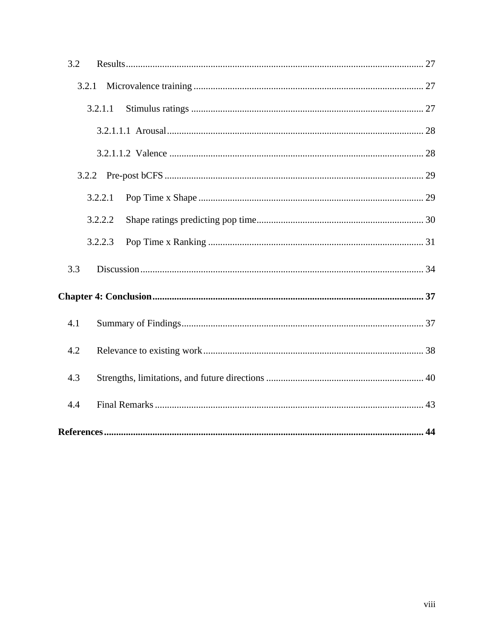| 3.2     |
|---------|
| 3.2.1   |
| 3.2.1.1 |
|         |
|         |
|         |
| 3.2.2.1 |
| 3.2.2.2 |
| 3.2.2.3 |
| 3.3     |
|         |
| 4.1     |
| 4.2     |
| 4.3     |
| 4.4     |
|         |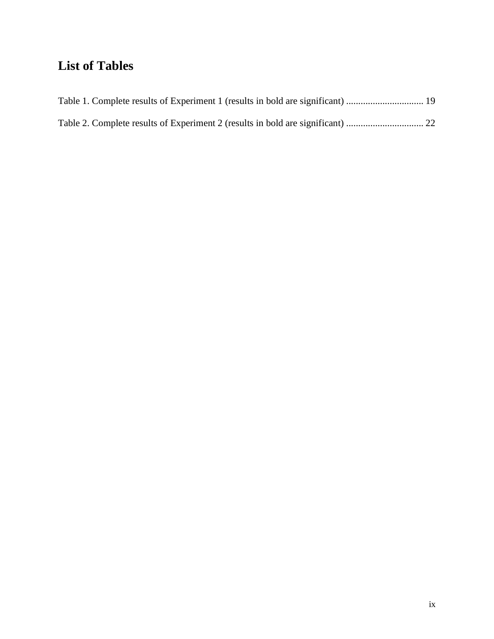# <span id="page-8-0"></span>**List of Tables**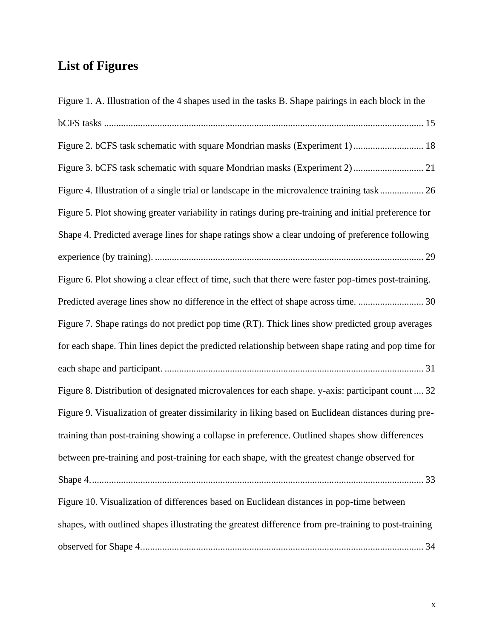# <span id="page-9-0"></span>**List of Figures**

| Figure 1. A. Illustration of the 4 shapes used in the tasks B. Shape pairings in each block in the   |
|------------------------------------------------------------------------------------------------------|
|                                                                                                      |
|                                                                                                      |
|                                                                                                      |
| Figure 4. Illustration of a single trial or landscape in the microvalence training task 26           |
| Figure 5. Plot showing greater variability in ratings during pre-training and initial preference for |
| Shape 4. Predicted average lines for shape ratings show a clear undoing of preference following      |
|                                                                                                      |
| Figure 6. Plot showing a clear effect of time, such that there were faster pop-times post-training.  |
|                                                                                                      |
| Figure 7. Shape ratings do not predict pop time (RT). Thick lines show predicted group averages      |
| for each shape. Thin lines depict the predicted relationship between shape rating and pop time for   |
|                                                                                                      |
| Figure 8. Distribution of designated microvalences for each shape. y-axis: participant count  32     |
| Figure 9. Visualization of greater dissimilarity in liking based on Euclidean distances during pre-  |
| training than post-training showing a collapse in preference. Outlined shapes show differences       |
| between pre-training and post-training for each shape, with the greatest change observed for         |
|                                                                                                      |
| Figure 10. Visualization of differences based on Euclidean distances in pop-time between             |
| shapes, with outlined shapes illustrating the greatest difference from pre-training to post-training |
|                                                                                                      |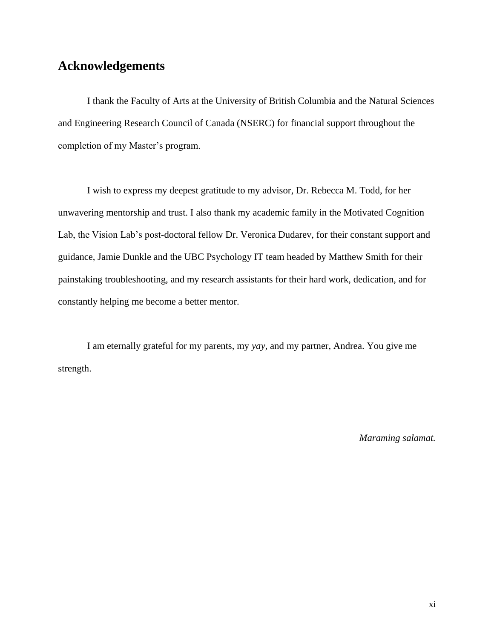# <span id="page-10-0"></span>**Acknowledgements**

I thank the Faculty of Arts at the University of British Columbia and the Natural Sciences and Engineering Research Council of Canada (NSERC) for financial support throughout the completion of my Master's program.

I wish to express my deepest gratitude to my advisor, Dr. Rebecca M. Todd, for her unwavering mentorship and trust. I also thank my academic family in the Motivated Cognition Lab, the Vision Lab's post-doctoral fellow Dr. Veronica Dudarev, for their constant support and guidance, Jamie Dunkle and the UBC Psychology IT team headed by Matthew Smith for their painstaking troubleshooting, and my research assistants for their hard work, dedication, and for constantly helping me become a better mentor.

I am eternally grateful for my parents, my *yay*, and my partner, Andrea. You give me strength.

*Maraming salamat.*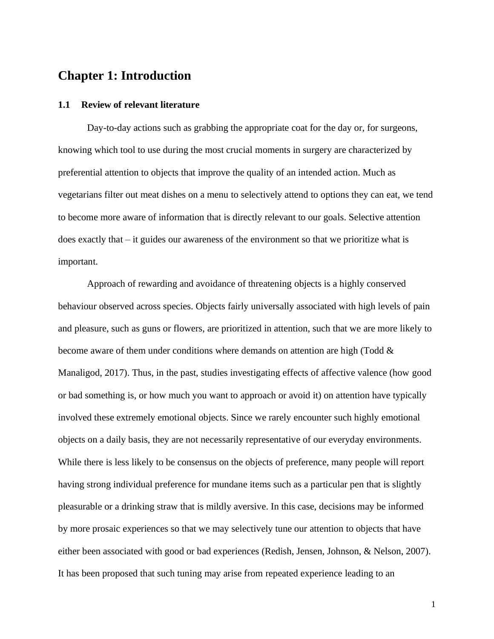# <span id="page-11-0"></span>**Chapter 1: Introduction**

#### <span id="page-11-1"></span>**1.1 Review of relevant literature**

Day-to-day actions such as grabbing the appropriate coat for the day or, for surgeons, knowing which tool to use during the most crucial moments in surgery are characterized by preferential attention to objects that improve the quality of an intended action. Much as vegetarians filter out meat dishes on a menu to selectively attend to options they can eat, we tend to become more aware of information that is directly relevant to our goals. Selective attention does exactly that – it guides our awareness of the environment so that we prioritize what is important.

Approach of rewarding and avoidance of threatening objects is a highly conserved behaviour observed across species. Objects fairly universally associated with high levels of pain and pleasure, such as guns or flowers, are prioritized in attention, such that we are more likely to become aware of them under conditions where demands on attention are high (Todd  $\&$ Manaligod, 2017). Thus, in the past, studies investigating effects of affective valence (how good or bad something is, or how much you want to approach or avoid it) on attention have typically involved these extremely emotional objects. Since we rarely encounter such highly emotional objects on a daily basis, they are not necessarily representative of our everyday environments. While there is less likely to be consensus on the objects of preference, many people will report having strong individual preference for mundane items such as a particular pen that is slightly pleasurable or a drinking straw that is mildly aversive. In this case, decisions may be informed by more prosaic experiences so that we may selectively tune our attention to objects that have either been associated with good or bad experiences (Redish, Jensen, Johnson, & Nelson, 2007). It has been proposed that such tuning may arise from repeated experience leading to an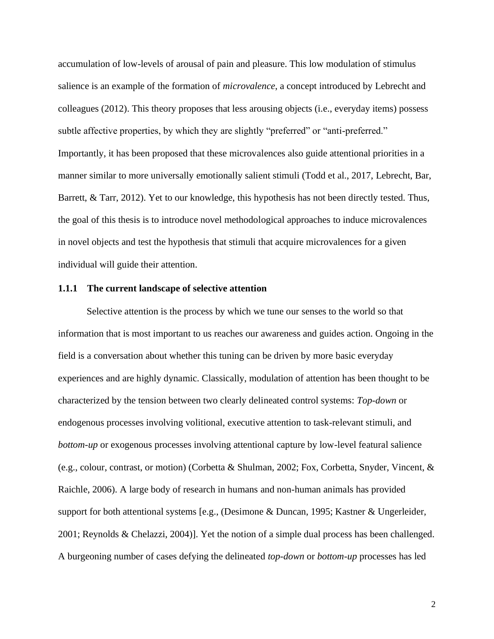accumulation of low-levels of arousal of pain and pleasure. This low modulation of stimulus salience is an example of the formation of *microvalence*, a concept introduced by Lebrecht and colleagues (2012). This theory proposes that less arousing objects (i.e., everyday items) possess subtle affective properties, by which they are slightly "preferred" or "anti-preferred." Importantly, it has been proposed that these microvalences also guide attentional priorities in a manner similar to more universally emotionally salient stimuli (Todd et al., 2017, Lebrecht, Bar, Barrett, & Tarr, 2012). Yet to our knowledge, this hypothesis has not been directly tested. Thus, the goal of this thesis is to introduce novel methodological approaches to induce microvalences in novel objects and test the hypothesis that stimuli that acquire microvalences for a given individual will guide their attention.

## <span id="page-12-0"></span>**1.1.1 The current landscape of selective attention**

Selective attention is the process by which we tune our senses to the world so that information that is most important to us reaches our awareness and guides action. Ongoing in the field is a conversation about whether this tuning can be driven by more basic everyday experiences and are highly dynamic. Classically, modulation of attention has been thought to be characterized by the tension between two clearly delineated control systems: *Top-down* or endogenous processes involving volitional, executive attention to task-relevant stimuli, and *bottom-up* or exogenous processes involving attentional capture by low-level featural salience (e.g., colour, contrast, or motion) (Corbetta & Shulman, 2002; Fox, Corbetta, Snyder, Vincent, & Raichle, 2006). A large body of research in humans and non-human animals has provided support for both attentional systems [e.g., (Desimone & Duncan, 1995; Kastner & Ungerleider, 2001; Reynolds & Chelazzi, 2004)]. Yet the notion of a simple dual process has been challenged. A burgeoning number of cases defying the delineated *top-down* or *bottom-up* processes has led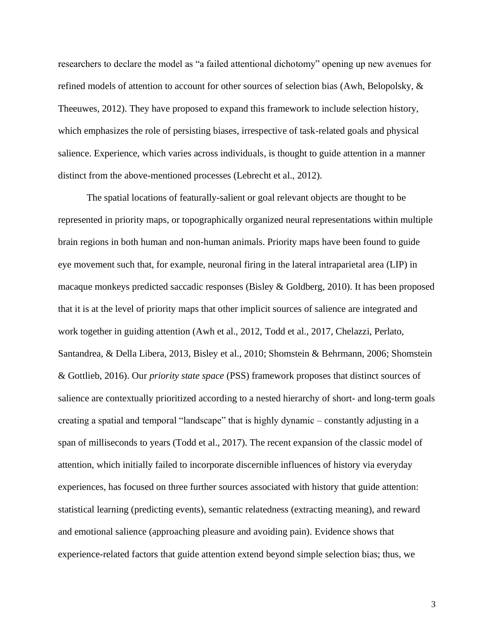researchers to declare the model as "a failed attentional dichotomy" opening up new avenues for refined models of attention to account for other sources of selection bias (Awh, Belopolsky, & Theeuwes, 2012). They have proposed to expand this framework to include selection history, which emphasizes the role of persisting biases, irrespective of task-related goals and physical salience. Experience, which varies across individuals, is thought to guide attention in a manner distinct from the above-mentioned processes (Lebrecht et al., 2012).

The spatial locations of featurally-salient or goal relevant objects are thought to be represented in priority maps, or topographically organized neural representations within multiple brain regions in both human and non-human animals. Priority maps have been found to guide eye movement such that, for example, neuronal firing in the lateral intraparietal area (LIP) in macaque monkeys predicted saccadic responses (Bisley & Goldberg, 2010). It has been proposed that it is at the level of priority maps that other implicit sources of salience are integrated and work together in guiding attention (Awh et al., 2012, Todd et al., 2017, Chelazzi, Perlato, Santandrea, & Della Libera, 2013, Bisley et al., 2010; Shomstein & Behrmann, 2006; Shomstein & Gottlieb, 2016). Our *priority state space* (PSS) framework proposes that distinct sources of salience are contextually prioritized according to a nested hierarchy of short- and long-term goals creating a spatial and temporal "landscape" that is highly dynamic – constantly adjusting in a span of milliseconds to years (Todd et al., 2017). The recent expansion of the classic model of attention, which initially failed to incorporate discernible influences of history via everyday experiences, has focused on three further sources associated with history that guide attention: statistical learning (predicting events), semantic relatedness (extracting meaning), and reward and emotional salience (approaching pleasure and avoiding pain). Evidence shows that experience-related factors that guide attention extend beyond simple selection bias; thus, we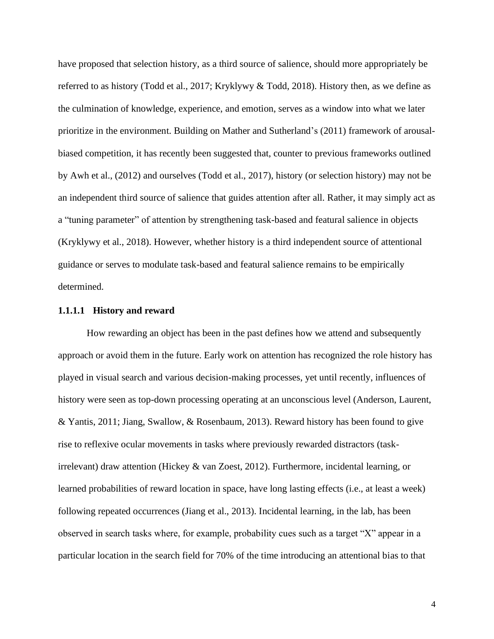have proposed that selection history, as a third source of salience, should more appropriately be referred to as history (Todd et al., 2017; Kryklywy & Todd, 2018). History then, as we define as the culmination of knowledge, experience, and emotion, serves as a window into what we later prioritize in the environment. Building on Mather and Sutherland's (2011) framework of arousalbiased competition, it has recently been suggested that, counter to previous frameworks outlined by Awh et al., (2012) and ourselves (Todd et al., 2017), history (or selection history) may not be an independent third source of salience that guides attention after all. Rather, it may simply act as a "tuning parameter" of attention by strengthening task-based and featural salience in objects (Kryklywy et al., 2018). However, whether history is a third independent source of attentional guidance or serves to modulate task-based and featural salience remains to be empirically determined.

### <span id="page-14-0"></span>**1.1.1.1 History and reward**

How rewarding an object has been in the past defines how we attend and subsequently approach or avoid them in the future. Early work on attention has recognized the role history has played in visual search and various decision-making processes, yet until recently, influences of history were seen as top-down processing operating at an unconscious level (Anderson, Laurent, & Yantis, 2011; Jiang, Swallow, & Rosenbaum, 2013). Reward history has been found to give rise to reflexive ocular movements in tasks where previously rewarded distractors (taskirrelevant) draw attention (Hickey & van Zoest, 2012). Furthermore, incidental learning, or learned probabilities of reward location in space, have long lasting effects (i.e., at least a week) following repeated occurrences (Jiang et al., 2013). Incidental learning, in the lab, has been observed in search tasks where, for example, probability cues such as a target "X" appear in a particular location in the search field for 70% of the time introducing an attentional bias to that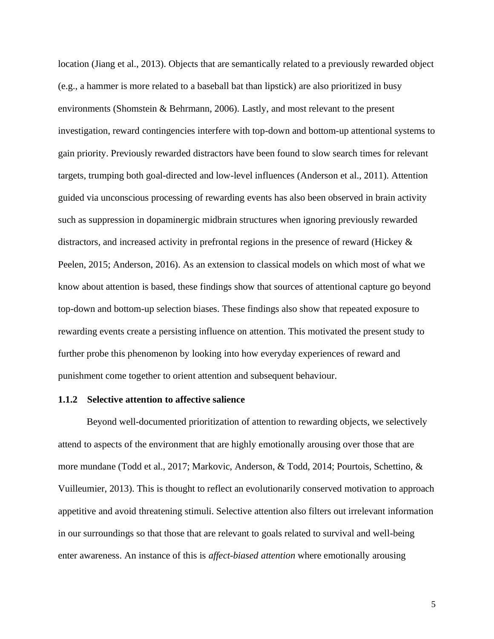location (Jiang et al., 2013). Objects that are semantically related to a previously rewarded object (e.g., a hammer is more related to a baseball bat than lipstick) are also prioritized in busy environments (Shomstein & Behrmann, 2006). Lastly, and most relevant to the present investigation, reward contingencies interfere with top-down and bottom-up attentional systems to gain priority. Previously rewarded distractors have been found to slow search times for relevant targets, trumping both goal-directed and low-level influences (Anderson et al., 2011). Attention guided via unconscious processing of rewarding events has also been observed in brain activity such as suppression in dopaminergic midbrain structures when ignoring previously rewarded distractors, and increased activity in prefrontal regions in the presence of reward (Hickey & Peelen, 2015; Anderson, 2016). As an extension to classical models on which most of what we know about attention is based, these findings show that sources of attentional capture go beyond top-down and bottom-up selection biases. These findings also show that repeated exposure to rewarding events create a persisting influence on attention. This motivated the present study to further probe this phenomenon by looking into how everyday experiences of reward and punishment come together to orient attention and subsequent behaviour.

# <span id="page-15-0"></span>**1.1.2 Selective attention to affective salience**

Beyond well-documented prioritization of attention to rewarding objects, we selectively attend to aspects of the environment that are highly emotionally arousing over those that are more mundane (Todd et al., 2017; Markovic, Anderson, & Todd, 2014; Pourtois, Schettino, & Vuilleumier, 2013). This is thought to reflect an evolutionarily conserved motivation to approach appetitive and avoid threatening stimuli. Selective attention also filters out irrelevant information in our surroundings so that those that are relevant to goals related to survival and well-being enter awareness. An instance of this is *affect-biased attention* where emotionally arousing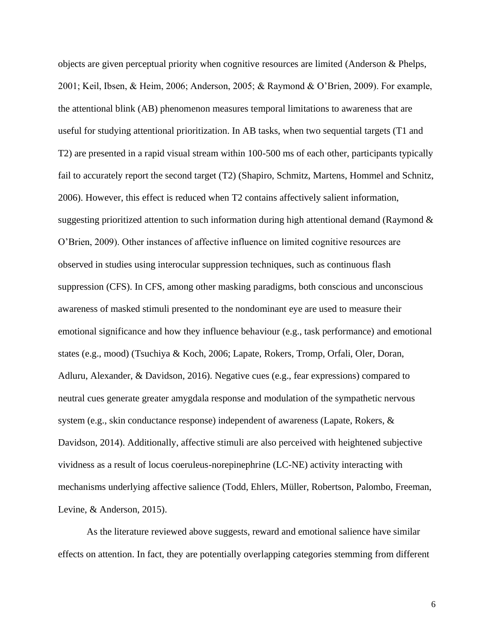objects are given perceptual priority when cognitive resources are limited (Anderson & Phelps, 2001; Keil, Ibsen, & Heim, 2006; Anderson, 2005; & Raymond & O'Brien, 2009). For example, the attentional blink (AB) phenomenon measures temporal limitations to awareness that are useful for studying attentional prioritization. In AB tasks, when two sequential targets (T1 and T2) are presented in a rapid visual stream within 100-500 ms of each other, participants typically fail to accurately report the second target (T2) (Shapiro, Schmitz, Martens, Hommel and Schnitz, 2006). However, this effect is reduced when T2 contains affectively salient information, suggesting prioritized attention to such information during high attentional demand (Raymond  $\&$ O'Brien, 2009). Other instances of affective influence on limited cognitive resources are observed in studies using interocular suppression techniques, such as continuous flash suppression (CFS). In CFS, among other masking paradigms, both conscious and unconscious awareness of masked stimuli presented to the nondominant eye are used to measure their emotional significance and how they influence behaviour (e.g., task performance) and emotional states (e.g., mood) (Tsuchiya & Koch, 2006; Lapate, Rokers, Tromp, Orfali, Oler, Doran, Adluru, Alexander, & Davidson, 2016). Negative cues (e.g., fear expressions) compared to neutral cues generate greater amygdala response and modulation of the sympathetic nervous system (e.g., skin conductance response) independent of awareness (Lapate, Rokers, & Davidson, 2014). Additionally, affective stimuli are also perceived with heightened subjective vividness as a result of locus coeruleus-norepinephrine (LC-NE) activity interacting with mechanisms underlying affective salience (Todd, Ehlers, Müller, Robertson, Palombo, Freeman, Levine, & Anderson, 2015).

As the literature reviewed above suggests, reward and emotional salience have similar effects on attention. In fact, they are potentially overlapping categories stemming from different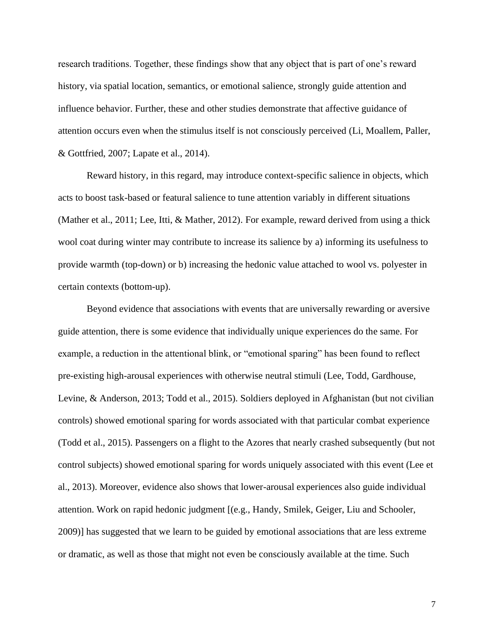research traditions. Together, these findings show that any object that is part of one's reward history, via spatial location, semantics, or emotional salience, strongly guide attention and influence behavior. Further, these and other studies demonstrate that affective guidance of attention occurs even when the stimulus itself is not consciously perceived (Li, Moallem, Paller, & Gottfried, 2007; Lapate et al., 2014).

Reward history, in this regard, may introduce context-specific salience in objects, which acts to boost task-based or featural salience to tune attention variably in different situations (Mather et al., 2011; Lee, Itti, & Mather, 2012). For example, reward derived from using a thick wool coat during winter may contribute to increase its salience by a) informing its usefulness to provide warmth (top-down) or b) increasing the hedonic value attached to wool vs. polyester in certain contexts (bottom-up).

Beyond evidence that associations with events that are universally rewarding or aversive guide attention, there is some evidence that individually unique experiences do the same. For example, a reduction in the attentional blink, or "emotional sparing" has been found to reflect pre-existing high-arousal experiences with otherwise neutral stimuli (Lee, Todd, Gardhouse, Levine, & Anderson, 2013; Todd et al., 2015). Soldiers deployed in Afghanistan (but not civilian controls) showed emotional sparing for words associated with that particular combat experience (Todd et al., 2015). Passengers on a flight to the Azores that nearly crashed subsequently (but not control subjects) showed emotional sparing for words uniquely associated with this event (Lee et al., 2013). Moreover, evidence also shows that lower-arousal experiences also guide individual attention. Work on rapid hedonic judgment [(e.g., Handy, Smilek, Geiger, Liu and Schooler, 2009)] has suggested that we learn to be guided by emotional associations that are less extreme or dramatic, as well as those that might not even be consciously available at the time. Such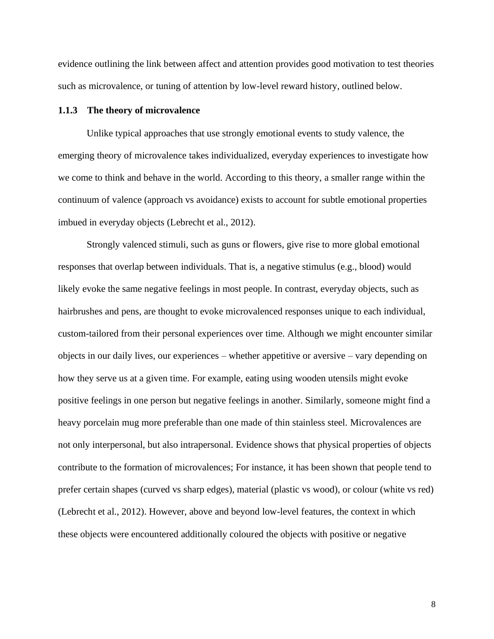evidence outlining the link between affect and attention provides good motivation to test theories such as microvalence, or tuning of attention by low-level reward history, outlined below.

### <span id="page-18-0"></span>**1.1.3 The theory of microvalence**

Unlike typical approaches that use strongly emotional events to study valence, the emerging theory of microvalence takes individualized, everyday experiences to investigate how we come to think and behave in the world. According to this theory, a smaller range within the continuum of valence (approach vs avoidance) exists to account for subtle emotional properties imbued in everyday objects (Lebrecht et al., 2012).

Strongly valenced stimuli, such as guns or flowers, give rise to more global emotional responses that overlap between individuals. That is, a negative stimulus (e.g., blood) would likely evoke the same negative feelings in most people. In contrast, everyday objects, such as hairbrushes and pens, are thought to evoke microvalenced responses unique to each individual, custom-tailored from their personal experiences over time. Although we might encounter similar objects in our daily lives, our experiences – whether appetitive or aversive – vary depending on how they serve us at a given time. For example, eating using wooden utensils might evoke positive feelings in one person but negative feelings in another. Similarly, someone might find a heavy porcelain mug more preferable than one made of thin stainless steel. Microvalences are not only interpersonal, but also intrapersonal. Evidence shows that physical properties of objects contribute to the formation of microvalences; For instance, it has been shown that people tend to prefer certain shapes (curved vs sharp edges), material (plastic vs wood), or colour (white vs red) (Lebrecht et al., 2012). However, above and beyond low-level features, the context in which these objects were encountered additionally coloured the objects with positive or negative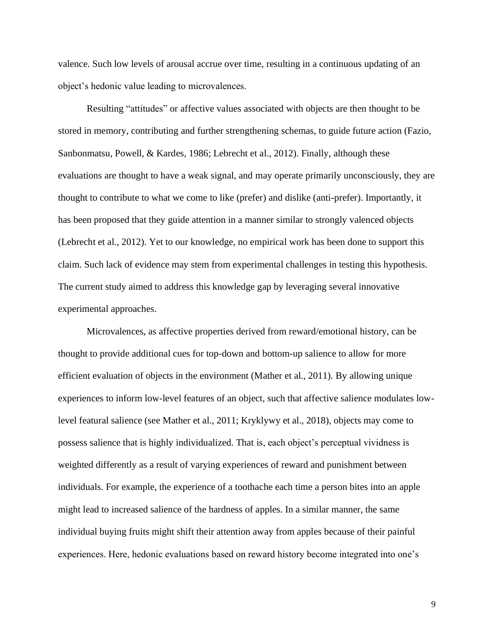valence. Such low levels of arousal accrue over time, resulting in a continuous updating of an object's hedonic value leading to microvalences.

Resulting "attitudes" or affective values associated with objects are then thought to be stored in memory, contributing and further strengthening schemas, to guide future action (Fazio, Sanbonmatsu, Powell, & Kardes, 1986; Lebrecht et al., 2012). Finally, although these evaluations are thought to have a weak signal, and may operate primarily unconsciously, they are thought to contribute to what we come to like (prefer) and dislike (anti-prefer). Importantly, it has been proposed that they guide attention in a manner similar to strongly valenced objects (Lebrecht et al., 2012). Yet to our knowledge, no empirical work has been done to support this claim. Such lack of evidence may stem from experimental challenges in testing this hypothesis. The current study aimed to address this knowledge gap by leveraging several innovative experimental approaches.

Microvalences, as affective properties derived from reward/emotional history, can be thought to provide additional cues for top-down and bottom-up salience to allow for more efficient evaluation of objects in the environment (Mather et al., 2011). By allowing unique experiences to inform low-level features of an object, such that affective salience modulates lowlevel featural salience (see Mather et al., 2011; Kryklywy et al., 2018), objects may come to possess salience that is highly individualized. That is, each object's perceptual vividness is weighted differently as a result of varying experiences of reward and punishment between individuals. For example, the experience of a toothache each time a person bites into an apple might lead to increased salience of the hardness of apples. In a similar manner, the same individual buying fruits might shift their attention away from apples because of their painful experiences. Here, hedonic evaluations based on reward history become integrated into one's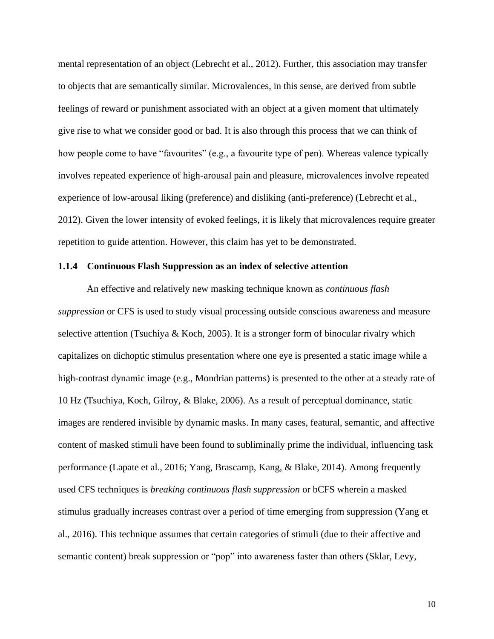mental representation of an object (Lebrecht et al., 2012). Further, this association may transfer to objects that are semantically similar. Microvalences, in this sense, are derived from subtle feelings of reward or punishment associated with an object at a given moment that ultimately give rise to what we consider good or bad. It is also through this process that we can think of how people come to have "favourites" (e.g., a favourite type of pen). Whereas valence typically involves repeated experience of high-arousal pain and pleasure, microvalences involve repeated experience of low-arousal liking (preference) and disliking (anti-preference) (Lebrecht et al., 2012). Given the lower intensity of evoked feelings, it is likely that microvalences require greater repetition to guide attention. However, this claim has yet to be demonstrated.

# <span id="page-20-0"></span>**1.1.4 Continuous Flash Suppression as an index of selective attention**

An effective and relatively new masking technique known as *continuous flash suppression* or CFS is used to study visual processing outside conscious awareness and measure selective attention (Tsuchiya & Koch, 2005). It is a stronger form of binocular rivalry which capitalizes on dichoptic stimulus presentation where one eye is presented a static image while a high-contrast dynamic image (e.g., Mondrian patterns) is presented to the other at a steady rate of 10 Hz (Tsuchiya, Koch, Gilroy, & Blake, 2006). As a result of perceptual dominance, static images are rendered invisible by dynamic masks. In many cases, featural, semantic, and affective content of masked stimuli have been found to subliminally prime the individual, influencing task performance (Lapate et al., 2016; Yang, Brascamp, Kang, & Blake, 2014). Among frequently used CFS techniques is *breaking continuous flash suppression* or bCFS wherein a masked stimulus gradually increases contrast over a period of time emerging from suppression (Yang et al., 2016). This technique assumes that certain categories of stimuli (due to their affective and semantic content) break suppression or "pop" into awareness faster than others (Sklar, Levy,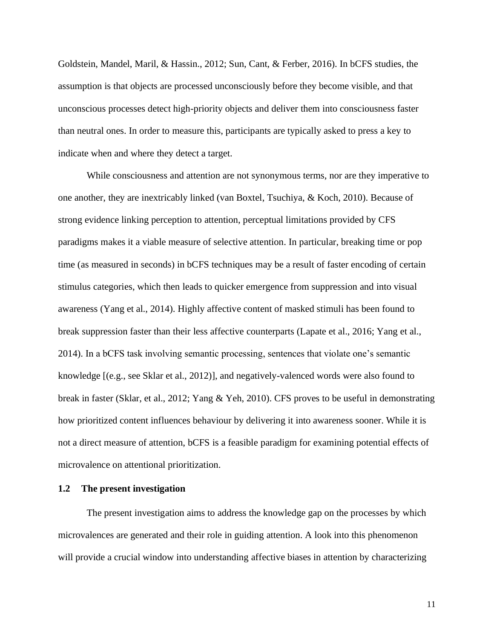Goldstein, Mandel, Maril, & Hassin., 2012; Sun, Cant, & Ferber, 2016). In bCFS studies, the assumption is that objects are processed unconsciously before they become visible, and that unconscious processes detect high-priority objects and deliver them into consciousness faster than neutral ones. In order to measure this, participants are typically asked to press a key to indicate when and where they detect a target.

While consciousness and attention are not synonymous terms, nor are they imperative to one another, they are inextricably linked (van Boxtel, Tsuchiya, & Koch, 2010). Because of strong evidence linking perception to attention, perceptual limitations provided by CFS paradigms makes it a viable measure of selective attention. In particular, breaking time or pop time (as measured in seconds) in bCFS techniques may be a result of faster encoding of certain stimulus categories, which then leads to quicker emergence from suppression and into visual awareness (Yang et al., 2014). Highly affective content of masked stimuli has been found to break suppression faster than their less affective counterparts (Lapate et al., 2016; Yang et al., 2014). In a bCFS task involving semantic processing, sentences that violate one's semantic knowledge [(e.g., see Sklar et al., 2012)], and negatively-valenced words were also found to break in faster (Sklar, et al., 2012; Yang & Yeh, 2010). CFS proves to be useful in demonstrating how prioritized content influences behaviour by delivering it into awareness sooner. While it is not a direct measure of attention, bCFS is a feasible paradigm for examining potential effects of microvalence on attentional prioritization.

## <span id="page-21-0"></span>**1.2 The present investigation**

The present investigation aims to address the knowledge gap on the processes by which microvalences are generated and their role in guiding attention. A look into this phenomenon will provide a crucial window into understanding affective biases in attention by characterizing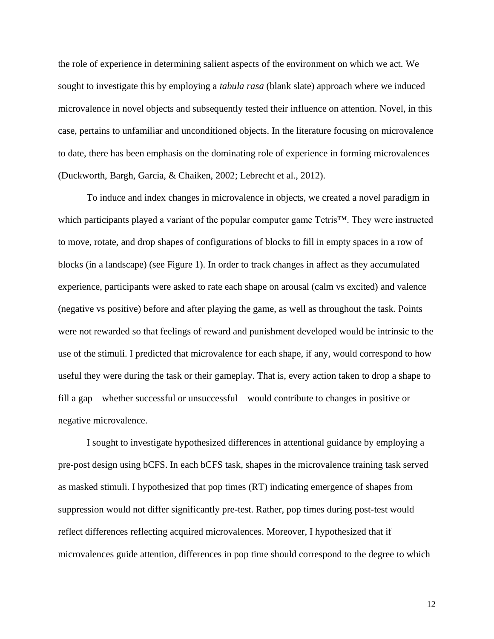the role of experience in determining salient aspects of the environment on which we act. We sought to investigate this by employing a *tabula rasa* (blank slate) approach where we induced microvalence in novel objects and subsequently tested their influence on attention. Novel, in this case, pertains to unfamiliar and unconditioned objects. In the literature focusing on microvalence to date, there has been emphasis on the dominating role of experience in forming microvalences (Duckworth, Bargh, Garcia, & Chaiken, 2002; Lebrecht et al., 2012).

To induce and index changes in microvalence in objects, we created a novel paradigm in which participants played a variant of the popular computer game Tetris™. They were instructed to move, rotate, and drop shapes of configurations of blocks to fill in empty spaces in a row of blocks (in a landscape) (see Figure 1). In order to track changes in affect as they accumulated experience, participants were asked to rate each shape on arousal (calm vs excited) and valence (negative vs positive) before and after playing the game, as well as throughout the task. Points were not rewarded so that feelings of reward and punishment developed would be intrinsic to the use of the stimuli. I predicted that microvalence for each shape, if any, would correspond to how useful they were during the task or their gameplay. That is, every action taken to drop a shape to fill a gap – whether successful or unsuccessful – would contribute to changes in positive or negative microvalence.

I sought to investigate hypothesized differences in attentional guidance by employing a pre-post design using bCFS. In each bCFS task, shapes in the microvalence training task served as masked stimuli. I hypothesized that pop times (RT) indicating emergence of shapes from suppression would not differ significantly pre-test. Rather, pop times during post-test would reflect differences reflecting acquired microvalences. Moreover, I hypothesized that if microvalences guide attention, differences in pop time should correspond to the degree to which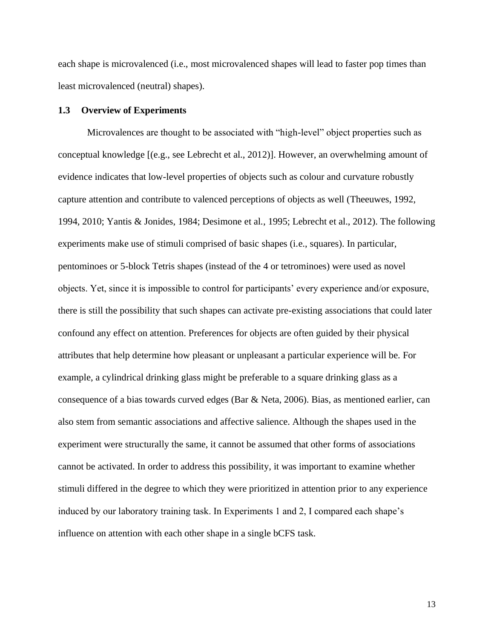each shape is microvalenced (i.e., most microvalenced shapes will lead to faster pop times than least microvalenced (neutral) shapes).

## <span id="page-23-0"></span>**1.3 Overview of Experiments**

Microvalences are thought to be associated with "high-level" object properties such as conceptual knowledge [(e.g., see Lebrecht et al., 2012)]. However, an overwhelming amount of evidence indicates that low-level properties of objects such as colour and curvature robustly capture attention and contribute to valenced perceptions of objects as well (Theeuwes, 1992, 1994, 2010; Yantis & Jonides, 1984; Desimone et al., 1995; Lebrecht et al., 2012). The following experiments make use of stimuli comprised of basic shapes (i.e., squares). In particular, pentominoes or 5-block Tetris shapes (instead of the 4 or tetrominoes) were used as novel objects. Yet, since it is impossible to control for participants' every experience and/or exposure, there is still the possibility that such shapes can activate pre-existing associations that could later confound any effect on attention. Preferences for objects are often guided by their physical attributes that help determine how pleasant or unpleasant a particular experience will be. For example, a cylindrical drinking glass might be preferable to a square drinking glass as a consequence of a bias towards curved edges (Bar & Neta, 2006). Bias, as mentioned earlier, can also stem from semantic associations and affective salience. Although the shapes used in the experiment were structurally the same, it cannot be assumed that other forms of associations cannot be activated. In order to address this possibility, it was important to examine whether stimuli differed in the degree to which they were prioritized in attention prior to any experience induced by our laboratory training task. In Experiments 1 and 2, I compared each shape's influence on attention with each other shape in a single bCFS task.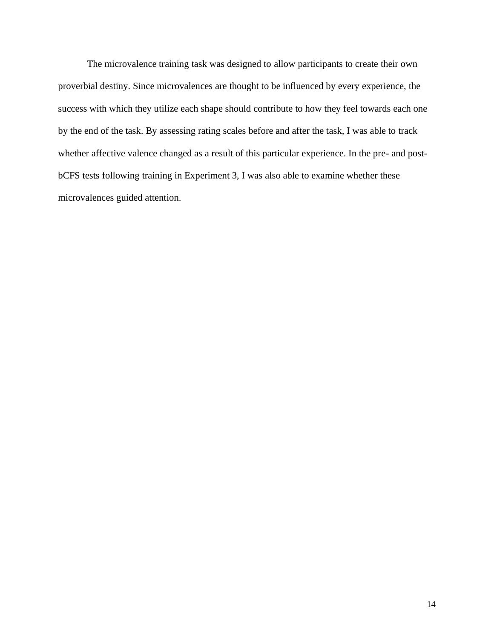The microvalence training task was designed to allow participants to create their own proverbial destiny. Since microvalences are thought to be influenced by every experience, the success with which they utilize each shape should contribute to how they feel towards each one by the end of the task. By assessing rating scales before and after the task, I was able to track whether affective valence changed as a result of this particular experience. In the pre- and postbCFS tests following training in Experiment 3, I was also able to examine whether these microvalences guided attention.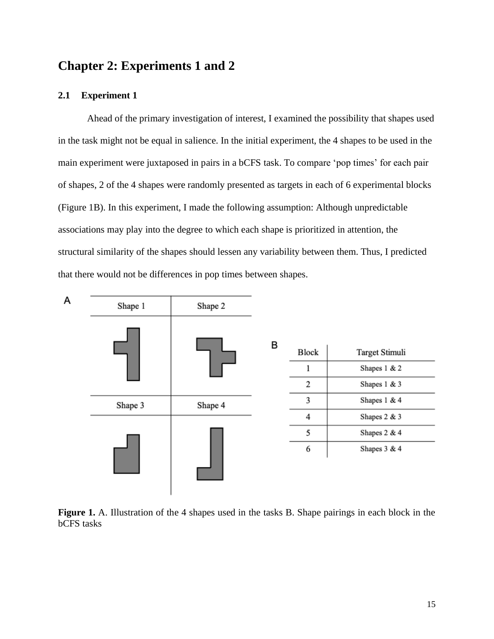# <span id="page-25-0"></span>**Chapter 2: Experiments 1 and 2**

# <span id="page-25-1"></span>**2.1 Experiment 1**

Ahead of the primary investigation of interest, I examined the possibility that shapes used in the task might not be equal in salience. In the initial experiment, the 4 shapes to be used in the main experiment were juxtaposed in pairs in a bCFS task. To compare 'pop times' for each pair of shapes, 2 of the 4 shapes were randomly presented as targets in each of 6 experimental blocks (Figure 1B). In this experiment, I made the following assumption: Although unpredictable associations may play into the degree to which each shape is prioritized in attention, the structural similarity of the shapes should lessen any variability between them. Thus, I predicted that there would not be differences in pop times between shapes.



<span id="page-25-2"></span>**Figure 1.** A. Illustration of the 4 shapes used in the tasks B. Shape pairings in each block in the bCFS tasks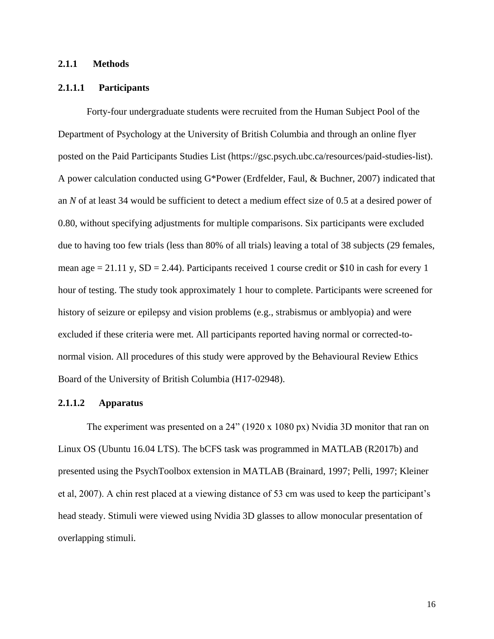#### <span id="page-26-0"></span>**2.1.1 Methods**

# <span id="page-26-1"></span>**2.1.1.1 Participants**

Forty-four undergraduate students were recruited from the Human Subject Pool of the Department of Psychology at the University of British Columbia and through an online flyer posted on the Paid Participants Studies List (https://gsc.psych.ubc.ca/resources/paid-studies-list). A power calculation conducted using G\*Power (Erdfelder, Faul, & Buchner, 2007) indicated that an *N* of at least 34 would be sufficient to detect a medium effect size of 0.5 at a desired power of 0.80, without specifying adjustments for multiple comparisons. Six participants were excluded due to having too few trials (less than 80% of all trials) leaving a total of 38 subjects (29 females, mean age  $= 21.11$  y,  $SD = 2.44$ ). Participants received 1 course credit or \$10 in cash for every 1 hour of testing. The study took approximately 1 hour to complete. Participants were screened for history of seizure or epilepsy and vision problems (e.g., strabismus or amblyopia) and were excluded if these criteria were met. All participants reported having normal or corrected-tonormal vision. All procedures of this study were approved by the Behavioural Review Ethics Board of the University of British Columbia (H17-02948).

# <span id="page-26-2"></span>**2.1.1.2 Apparatus**

The experiment was presented on a 24" (1920 x 1080 px) Nvidia 3D monitor that ran on Linux OS (Ubuntu 16.04 LTS). The bCFS task was programmed in MATLAB (R2017b) and presented using the PsychToolbox extension in MATLAB (Brainard, 1997; Pelli, 1997; Kleiner et al, 2007). A chin rest placed at a viewing distance of 53 cm was used to keep the participant's head steady. Stimuli were viewed using Nvidia 3D glasses to allow monocular presentation of overlapping stimuli.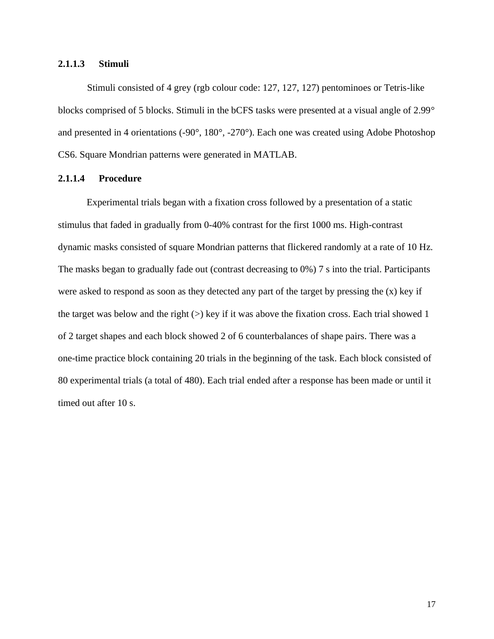# <span id="page-27-0"></span>**2.1.1.3 Stimuli**

Stimuli consisted of 4 grey (rgb colour code: 127, 127, 127) pentominoes or Tetris-like blocks comprised of 5 blocks. Stimuli in the bCFS tasks were presented at a visual angle of 2.99° and presented in 4 orientations (-90°, 180°, -270°). Each one was created using Adobe Photoshop CS6. Square Mondrian patterns were generated in MATLAB.

# <span id="page-27-1"></span>**2.1.1.4 Procedure**

Experimental trials began with a fixation cross followed by a presentation of a static stimulus that faded in gradually from 0-40% contrast for the first 1000 ms. High-contrast dynamic masks consisted of square Mondrian patterns that flickered randomly at a rate of 10 Hz. The masks began to gradually fade out (contrast decreasing to 0%) 7 s into the trial. Participants were asked to respond as soon as they detected any part of the target by pressing the  $(x)$  key if the target was below and the right  $(>)$  key if it was above the fixation cross. Each trial showed 1 of 2 target shapes and each block showed 2 of 6 counterbalances of shape pairs. There was a one-time practice block containing 20 trials in the beginning of the task. Each block consisted of 80 experimental trials (a total of 480). Each trial ended after a response has been made or until it timed out after 10 s.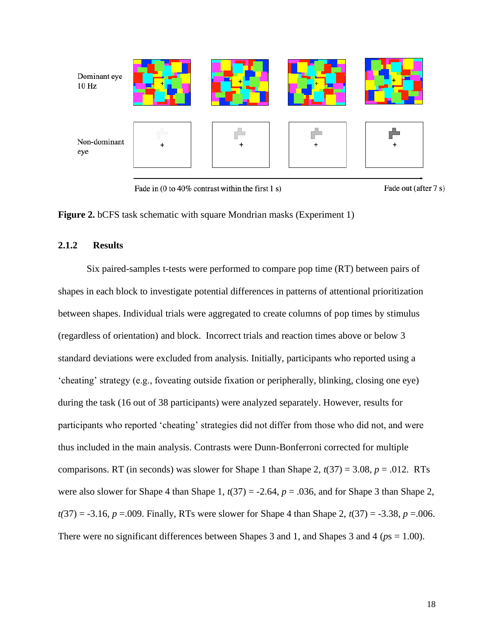

Fade in (0 to 40% contrast within the first 1 s)



<span id="page-28-1"></span>**Figure 2.** bCFS task schematic with square Mondrian masks (Experiment 1)

# <span id="page-28-0"></span>**2.1.2 Results**

Six paired-samples t-tests were performed to compare pop time (RT) between pairs of shapes in each block to investigate potential differences in patterns of attentional prioritization between shapes. Individual trials were aggregated to create columns of pop times by stimulus (regardless of orientation) and block. Incorrect trials and reaction times above or below 3 standard deviations were excluded from analysis. Initially, participants who reported using a 'cheating' strategy (e.g., foveating outside fixation or peripherally, blinking, closing one eye) during the task (16 out of 38 participants) were analyzed separately. However, results for participants who reported 'cheating' strategies did not differ from those who did not, and were thus included in the main analysis. Contrasts were Dunn-Bonferroni corrected for multiple comparisons. RT (in seconds) was slower for Shape 1 than Shape 2,  $t(37) = 3.08$ ,  $p = .012$ . RTs were also slower for Shape 4 than Shape 1,  $t(37) = -2.64$ ,  $p = .036$ , and for Shape 3 than Shape 2,  $t(37) = -3.16$ ,  $p = .009$ . Finally, RTs were slower for Shape 4 than Shape 2,  $t(37) = -3.38$ ,  $p = .006$ . There were no significant differences between Shapes 3 and 1, and Shapes 3 and 4 (*p*s = 1.00).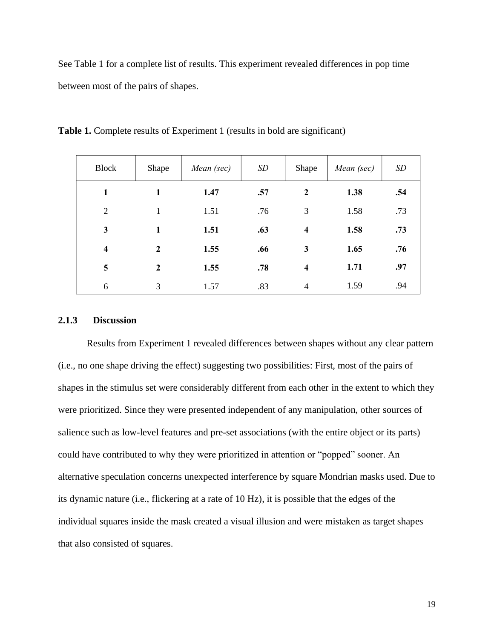See Table 1 for a complete list of results. This experiment revealed differences in pop time between most of the pairs of shapes.

| <b>Block</b>            | Shape            | Mean (sec) | SD  | Shape                   | Mean (sec) | SD  |
|-------------------------|------------------|------------|-----|-------------------------|------------|-----|
| 1                       | 1                | 1.47       | .57 | $\mathbf{2}$            | 1.38       | .54 |
| $\overline{2}$          | 1                | 1.51       | .76 | 3                       | 1.58       | .73 |
| 3                       | $\mathbf{1}$     | 1.51       | .63 | $\overline{\mathbf{4}}$ | 1.58       | .73 |
| $\overline{\mathbf{4}}$ | $\boldsymbol{2}$ | 1.55       | .66 | 3                       | 1.65       | .76 |
| 5                       | $\overline{2}$   | 1.55       | .78 | $\overline{\mathbf{4}}$ | 1.71       | .97 |
| 6                       | 3                | 1.57       | .83 | $\overline{4}$          | 1.59       | .94 |

<span id="page-29-1"></span>**Table 1.** Complete results of Experiment 1 (results in bold are significant)

# <span id="page-29-0"></span>**2.1.3 Discussion**

Results from Experiment 1 revealed differences between shapes without any clear pattern (i.e., no one shape driving the effect) suggesting two possibilities: First, most of the pairs of shapes in the stimulus set were considerably different from each other in the extent to which they were prioritized. Since they were presented independent of any manipulation, other sources of salience such as low-level features and pre-set associations (with the entire object or its parts) could have contributed to why they were prioritized in attention or "popped" sooner. An alternative speculation concerns unexpected interference by square Mondrian masks used. Due to its dynamic nature (i.e., flickering at a rate of 10 Hz), it is possible that the edges of the individual squares inside the mask created a visual illusion and were mistaken as target shapes that also consisted of squares.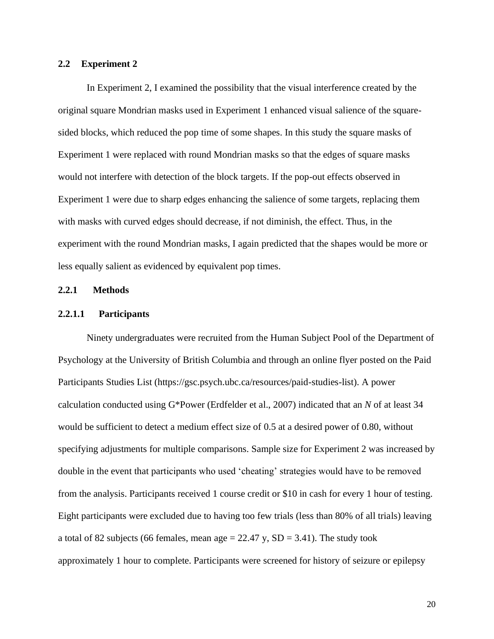### <span id="page-30-0"></span>**2.2 Experiment 2**

In Experiment 2, I examined the possibility that the visual interference created by the original square Mondrian masks used in Experiment 1 enhanced visual salience of the squaresided blocks, which reduced the pop time of some shapes. In this study the square masks of Experiment 1 were replaced with round Mondrian masks so that the edges of square masks would not interfere with detection of the block targets. If the pop-out effects observed in Experiment 1 were due to sharp edges enhancing the salience of some targets, replacing them with masks with curved edges should decrease, if not diminish, the effect. Thus, in the experiment with the round Mondrian masks, I again predicted that the shapes would be more or less equally salient as evidenced by equivalent pop times.

## <span id="page-30-1"></span>**2.2.1 Methods**

#### <span id="page-30-2"></span>**2.2.1.1 Participants**

Ninety undergraduates were recruited from the Human Subject Pool of the Department of Psychology at the University of British Columbia and through an online flyer posted on the Paid Participants Studies List (https://gsc.psych.ubc.ca/resources/paid-studies-list). A power calculation conducted using G\*Power (Erdfelder et al., 2007) indicated that an *N* of at least 34 would be sufficient to detect a medium effect size of 0.5 at a desired power of 0.80, without specifying adjustments for multiple comparisons. Sample size for Experiment 2 was increased by double in the event that participants who used 'cheating' strategies would have to be removed from the analysis. Participants received 1 course credit or \$10 in cash for every 1 hour of testing. Eight participants were excluded due to having too few trials (less than 80% of all trials) leaving a total of 82 subjects (66 females, mean age  $= 22.47$  y,  $SD = 3.41$ ). The study took approximately 1 hour to complete. Participants were screened for history of seizure or epilepsy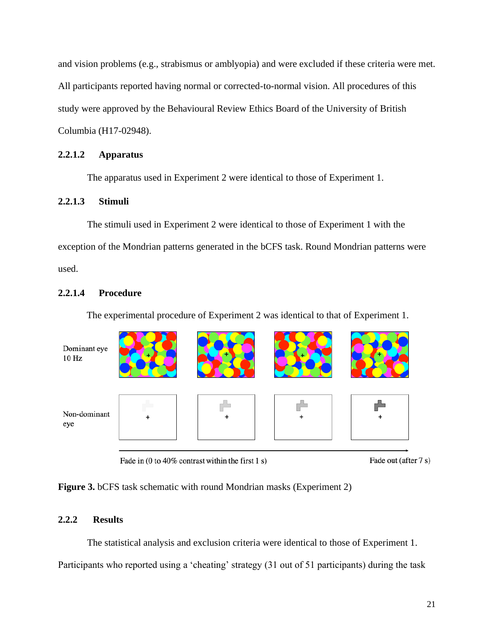and vision problems (e.g., strabismus or amblyopia) and were excluded if these criteria were met. All participants reported having normal or corrected-to-normal vision. All procedures of this study were approved by the Behavioural Review Ethics Board of the University of British Columbia (H17-02948).

# <span id="page-31-0"></span>**2.2.1.2 Apparatus**

The apparatus used in Experiment 2 were identical to those of Experiment 1.

# <span id="page-31-1"></span>**2.2.1.3 Stimuli**

The stimuli used in Experiment 2 were identical to those of Experiment 1 with the exception of the Mondrian patterns generated in the bCFS task. Round Mondrian patterns were used.

# <span id="page-31-2"></span>**2.2.1.4 Procedure**

The experimental procedure of Experiment 2 was identical to that of Experiment 1.



Fade in (0 to 40% contrast within the first 1 s)

Fade out (after 7 s)

<span id="page-31-4"></span>**Figure 3.** bCFS task schematic with round Mondrian masks (Experiment 2)

# <span id="page-31-3"></span>**2.2.2 Results**

The statistical analysis and exclusion criteria were identical to those of Experiment 1.

Participants who reported using a 'cheating' strategy (31 out of 51 participants) during the task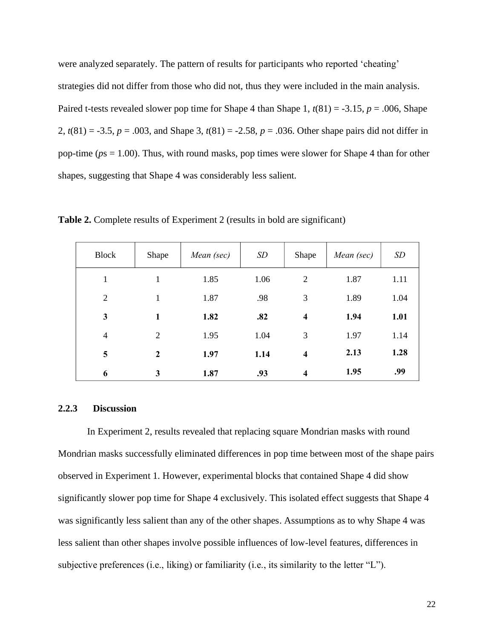were analyzed separately. The pattern of results for participants who reported 'cheating' strategies did not differ from those who did not, thus they were included in the main analysis. Paired t-tests revealed slower pop time for Shape 4 than Shape 1,  $t(81) = -3.15$ ,  $p = .006$ , Shape 2, *t*(81) = -3.5, *p* = .003, and Shape 3, *t*(81) = -2.58, *p* = .036. Other shape pairs did not differ in pop-time (*p*s = 1.00). Thus, with round masks, pop times were slower for Shape 4 than for other shapes, suggesting that Shape 4 was considerably less salient.

| <b>Block</b>   | Shape            | Mean (sec) | SD   | Shape                   | Mean (sec) | SD   |
|----------------|------------------|------------|------|-------------------------|------------|------|
| 1              | 1                | 1.85       | 1.06 | $\overline{2}$          | 1.87       | 1.11 |
| 2              | 1                | 1.87       | .98  | 3                       | 1.89       | 1.04 |
| 3              | 1                | 1.82       | .82  | $\overline{\mathbf{4}}$ | 1.94       | 1.01 |
| $\overline{4}$ | $\overline{2}$   | 1.95       | 1.04 | 3                       | 1.97       | 1.14 |
| 5              | $\boldsymbol{2}$ | 1.97       | 1.14 | $\overline{\mathbf{4}}$ | 2.13       | 1.28 |
| 6              | 3                | 1.87       | .93  | $\overline{\mathbf{4}}$ | 1.95       | .99  |

<span id="page-32-1"></span>**Table 2.** Complete results of Experiment 2 (results in bold are significant)

#### <span id="page-32-0"></span>**2.2.3 Discussion**

In Experiment 2, results revealed that replacing square Mondrian masks with round Mondrian masks successfully eliminated differences in pop time between most of the shape pairs observed in Experiment 1. However, experimental blocks that contained Shape 4 did show significantly slower pop time for Shape 4 exclusively. This isolated effect suggests that Shape 4 was significantly less salient than any of the other shapes. Assumptions as to why Shape 4 was less salient than other shapes involve possible influences of low-level features, differences in subjective preferences (i.e., liking) or familiarity (i.e., its similarity to the letter "L").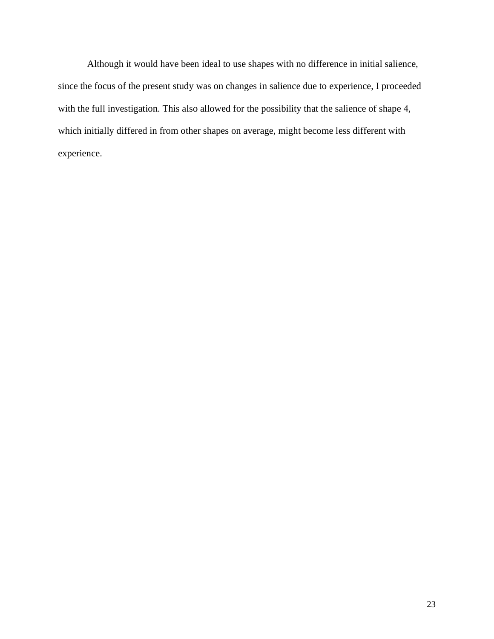Although it would have been ideal to use shapes with no difference in initial salience, since the focus of the present study was on changes in salience due to experience, I proceeded with the full investigation. This also allowed for the possibility that the salience of shape 4, which initially differed in from other shapes on average, might become less different with experience.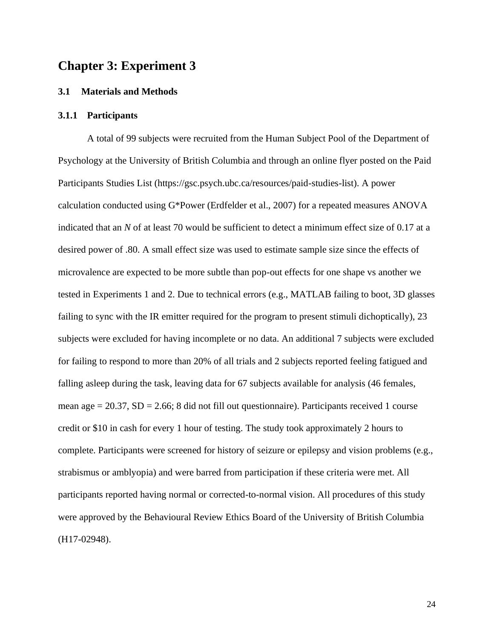# <span id="page-34-0"></span>**Chapter 3: Experiment 3**

#### <span id="page-34-1"></span>**3.1 Materials and Methods**

# <span id="page-34-2"></span>**3.1.1 Participants**

A total of 99 subjects were recruited from the Human Subject Pool of the Department of Psychology at the University of British Columbia and through an online flyer posted on the Paid Participants Studies List (https://gsc.psych.ubc.ca/resources/paid-studies-list). A power calculation conducted using G\*Power (Erdfelder et al., 2007) for a repeated measures ANOVA indicated that an *N* of at least 70 would be sufficient to detect a minimum effect size of 0.17 at a desired power of .80. A small effect size was used to estimate sample size since the effects of microvalence are expected to be more subtle than pop-out effects for one shape vs another we tested in Experiments 1 and 2. Due to technical errors (e.g., MATLAB failing to boot, 3D glasses failing to sync with the IR emitter required for the program to present stimuli dichoptically), 23 subjects were excluded for having incomplete or no data. An additional 7 subjects were excluded for failing to respond to more than 20% of all trials and 2 subjects reported feeling fatigued and falling asleep during the task, leaving data for 67 subjects available for analysis (46 females, mean age  $= 20.37$ ,  $SD = 2.66$ ; 8 did not fill out questionnaire). Participants received 1 course credit or \$10 in cash for every 1 hour of testing. The study took approximately 2 hours to complete. Participants were screened for history of seizure or epilepsy and vision problems (e.g., strabismus or amblyopia) and were barred from participation if these criteria were met. All participants reported having normal or corrected-to-normal vision. All procedures of this study were approved by the Behavioural Review Ethics Board of the University of British Columbia (H17-02948).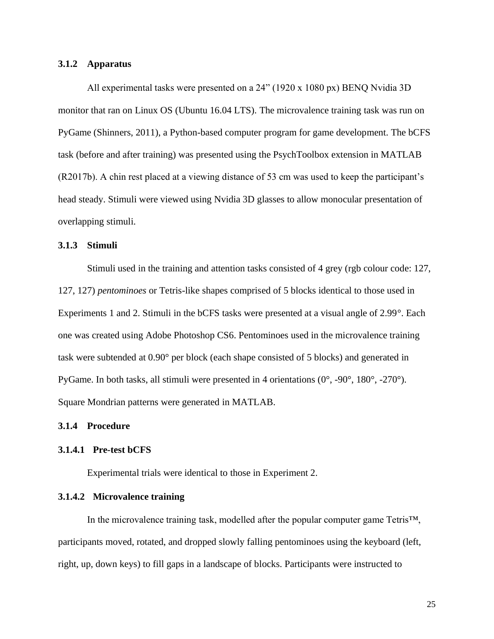## <span id="page-35-0"></span>**3.1.2 Apparatus**

All experimental tasks were presented on a 24" (1920 x 1080 px) BENQ Nvidia 3D monitor that ran on Linux OS (Ubuntu 16.04 LTS). The microvalence training task was run on PyGame (Shinners, 2011), a Python-based computer program for game development. The bCFS task (before and after training) was presented using the PsychToolbox extension in MATLAB (R2017b). A chin rest placed at a viewing distance of 53 cm was used to keep the participant's head steady. Stimuli were viewed using Nvidia 3D glasses to allow monocular presentation of overlapping stimuli.

## <span id="page-35-1"></span>**3.1.3 Stimuli**

Stimuli used in the training and attention tasks consisted of 4 grey (rgb colour code: 127, 127, 127) *pentominoes* or Tetris-like shapes comprised of 5 blocks identical to those used in Experiments 1 and 2. Stimuli in the bCFS tasks were presented at a visual angle of 2.99°. Each one was created using Adobe Photoshop CS6. Pentominoes used in the microvalence training task were subtended at 0.90° per block (each shape consisted of 5 blocks) and generated in PyGame. In both tasks, all stimuli were presented in 4 orientations (0°, -90°, 180°, -270°). Square Mondrian patterns were generated in MATLAB.

## <span id="page-35-2"></span>**3.1.4 Procedure**

### <span id="page-35-3"></span>**3.1.4.1 Pre-test bCFS**

Experimental trials were identical to those in Experiment 2.

## <span id="page-35-4"></span>**3.1.4.2 Microvalence training**

In the microvalence training task, modelled after the popular computer game  $Tetris<sup>TM</sup>$ , participants moved, rotated, and dropped slowly falling pentominoes using the keyboard (left, right, up, down keys) to fill gaps in a landscape of blocks. Participants were instructed to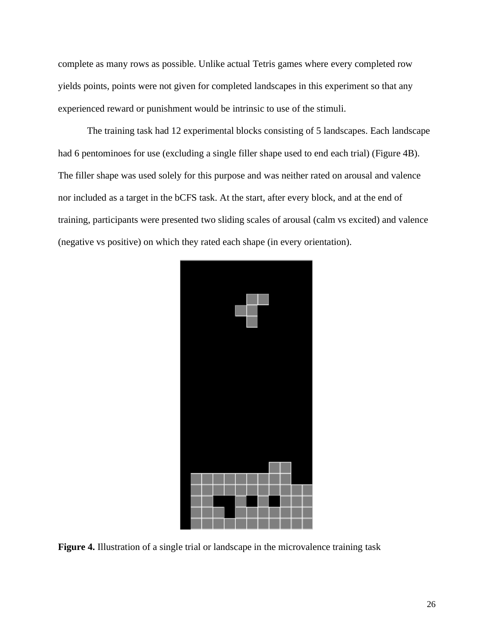complete as many rows as possible. Unlike actual Tetris games where every completed row yields points, points were not given for completed landscapes in this experiment so that any experienced reward or punishment would be intrinsic to use of the stimuli.

The training task had 12 experimental blocks consisting of 5 landscapes. Each landscape had 6 pentominoes for use (excluding a single filler shape used to end each trial) (Figure 4B). The filler shape was used solely for this purpose and was neither rated on arousal and valence nor included as a target in the bCFS task. At the start, after every block, and at the end of training, participants were presented two sliding scales of arousal (calm vs excited) and valence (negative vs positive) on which they rated each shape (in every orientation).



<span id="page-36-0"></span>**Figure 4.** Illustration of a single trial or landscape in the microvalence training task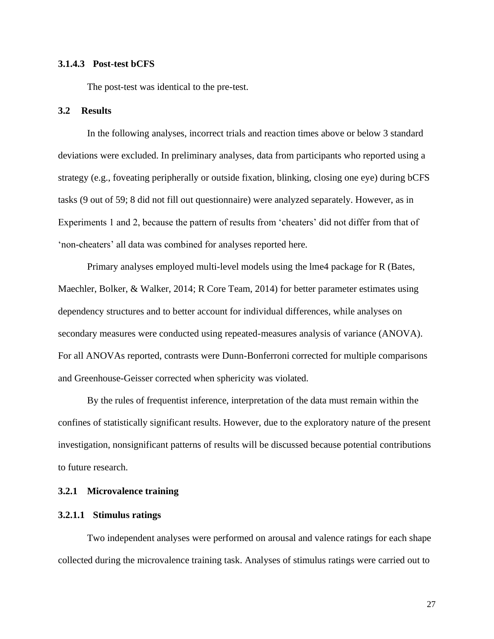## <span id="page-37-0"></span>**3.1.4.3 Post-test bCFS**

The post-test was identical to the pre-test.

#### <span id="page-37-1"></span>**3.2 Results**

In the following analyses, incorrect trials and reaction times above or below 3 standard deviations were excluded. In preliminary analyses, data from participants who reported using a strategy (e.g., foveating peripherally or outside fixation, blinking, closing one eye) during bCFS tasks (9 out of 59; 8 did not fill out questionnaire) were analyzed separately. However, as in Experiments 1 and 2, because the pattern of results from 'cheaters' did not differ from that of 'non-cheaters' all data was combined for analyses reported here.

Primary analyses employed multi-level models using the lme4 package for R (Bates, Maechler, Bolker, & Walker, 2014; R Core Team, 2014) for better parameter estimates using dependency structures and to better account for individual differences, while analyses on secondary measures were conducted using repeated-measures analysis of variance (ANOVA). For all ANOVAs reported, contrasts were Dunn-Bonferroni corrected for multiple comparisons and Greenhouse-Geisser corrected when sphericity was violated.

By the rules of frequentist inference, interpretation of the data must remain within the confines of statistically significant results. However, due to the exploratory nature of the present investigation, nonsignificant patterns of results will be discussed because potential contributions to future research.

# <span id="page-37-2"></span>**3.2.1 Microvalence training**

# <span id="page-37-3"></span>**3.2.1.1 Stimulus ratings**

Two independent analyses were performed on arousal and valence ratings for each shape collected during the microvalence training task. Analyses of stimulus ratings were carried out to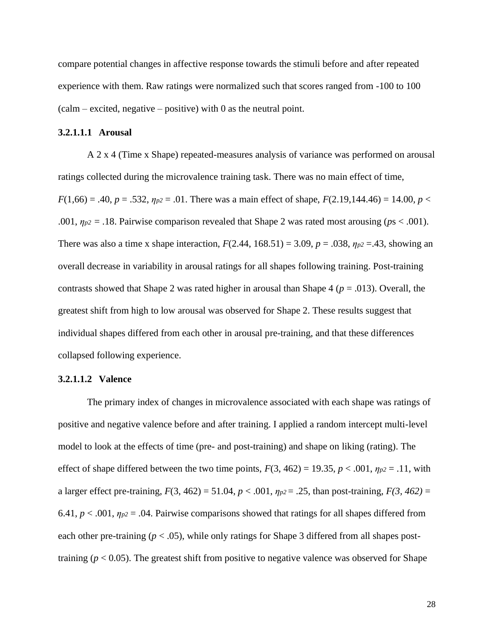compare potential changes in affective response towards the stimuli before and after repeated experience with them. Raw ratings were normalized such that scores ranged from -100 to 100  $(calm – excited, negative – positive)$  with 0 as the neutral point.

### <span id="page-38-0"></span>**3.2.1.1.1 Arousal**

A 2 x 4 (Time x Shape) repeated-measures analysis of variance was performed on arousal ratings collected during the microvalence training task. There was no main effect of time, *F*(1,66) = .40, *p* = .532,  $\eta_{p2}$  = .01. There was a main effect of shape, *F*(2.19,144.46) = 14.00, *p* < .001,  $\eta_{p2}$  = .18. Pairwise comparison revealed that Shape 2 was rated most arousing ( $ps < .001$ ). There was also a time x shape interaction,  $F(2.44, 168.51) = 3.09$ ,  $p = .038$ ,  $\eta_{p2} = .43$ , showing an overall decrease in variability in arousal ratings for all shapes following training. Post-training contrasts showed that Shape 2 was rated higher in arousal than Shape 4 (*p* = .013). Overall, the greatest shift from high to low arousal was observed for Shape 2. These results suggest that individual shapes differed from each other in arousal pre-training, and that these differences collapsed following experience.

#### <span id="page-38-1"></span>**3.2.1.1.2 Valence**

The primary index of changes in microvalence associated with each shape was ratings of positive and negative valence before and after training. I applied a random intercept multi-level model to look at the effects of time (pre- and post-training) and shape on liking (rating). The effect of shape differed between the two time points,  $F(3, 462) = 19.35$ ,  $p < .001$ ,  $\eta_{p2} = .11$ , with a larger effect pre-training, *F*(3, 462) = 51.04, *p* < .001, *ηp2* = .25, than post-training, *F(3, 462)* = 6.41,  $p < .001$ ,  $\eta_{p2} = .04$ . Pairwise comparisons showed that ratings for all shapes differed from each other pre-training  $(p < .05)$ , while only ratings for Shape 3 differed from all shapes posttraining  $(p < 0.05)$ . The greatest shift from positive to negative valence was observed for Shape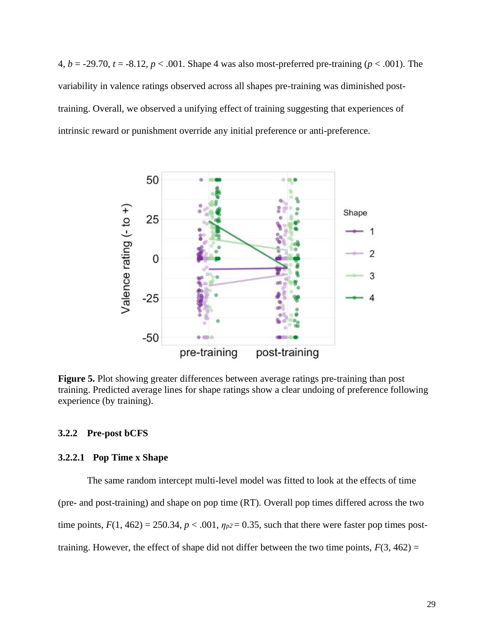4,  $b = -29.70$ ,  $t = -8.12$ ,  $p < .001$ . Shape 4 was also most-preferred pre-training ( $p < .001$ ). The variability in valence ratings observed across all shapes pre-training was diminished posttraining. Overall, we observed a unifying effect of training suggesting that experiences of intrinsic reward or punishment override any initial preference or anti-preference.



<span id="page-39-2"></span>**Figure 5.** Plot showing greater differences between average ratings pre-training than post training. Predicted average lines for shape ratings show a clear undoing of preference following experience (by training).

#### <span id="page-39-0"></span>**3.2.2 Pre-post bCFS**

# <span id="page-39-1"></span>**3.2.2.1 Pop Time x Shape**

The same random intercept multi-level model was fitted to look at the effects of time (pre- and post-training) and shape on pop time (RT). Overall pop times differed across the two time points,  $F(1, 462) = 250.34$ ,  $p < .001$ ,  $\eta_{p2} = 0.35$ , such that there were faster pop times posttraining. However, the effect of shape did not differ between the two time points,  $F(3, 462) =$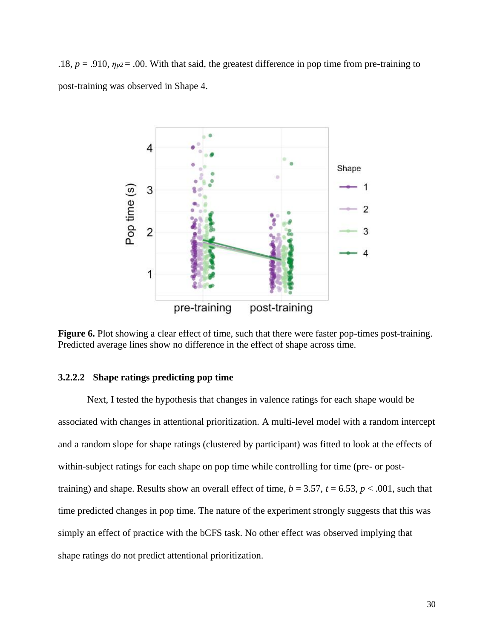.18,  $p = .910$ ,  $\eta_{p2} = .00$ . With that said, the greatest difference in pop time from pre-training to post-training was observed in Shape 4.



<span id="page-40-1"></span>**Figure 6.** Plot showing a clear effect of time, such that there were faster pop-times post-training. Predicted average lines show no difference in the effect of shape across time.

# <span id="page-40-0"></span>**3.2.2.2 Shape ratings predicting pop time**

Next, I tested the hypothesis that changes in valence ratings for each shape would be associated with changes in attentional prioritization. A multi-level model with a random intercept and a random slope for shape ratings (clustered by participant) was fitted to look at the effects of within-subject ratings for each shape on pop time while controlling for time (pre- or posttraining) and shape. Results show an overall effect of time,  $b = 3.57$ ,  $t = 6.53$ ,  $p < .001$ , such that time predicted changes in pop time. The nature of the experiment strongly suggests that this was simply an effect of practice with the bCFS task. No other effect was observed implying that shape ratings do not predict attentional prioritization.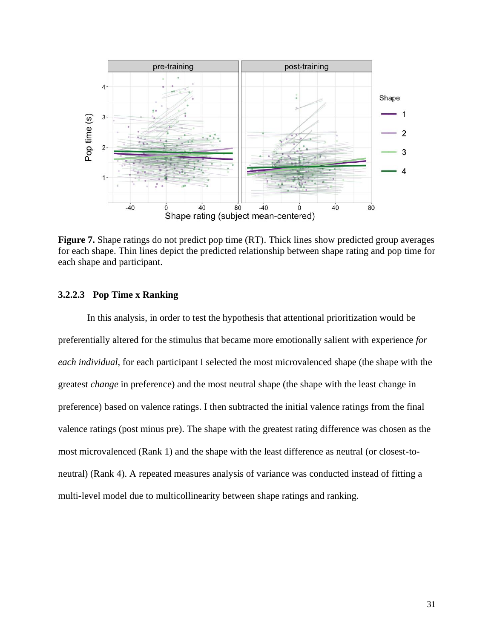

<span id="page-41-1"></span>**Figure 7.** Shape ratings do not predict pop time (RT). Thick lines show predicted group averages for each shape. Thin lines depict the predicted relationship between shape rating and pop time for each shape and participant.

# <span id="page-41-0"></span>**3.2.2.3 Pop Time x Ranking**

In this analysis, in order to test the hypothesis that attentional prioritization would be preferentially altered for the stimulus that became more emotionally salient with experience *for each individual*, for each participant I selected the most microvalenced shape (the shape with the greatest *change* in preference) and the most neutral shape (the shape with the least change in preference) based on valence ratings. I then subtracted the initial valence ratings from the final valence ratings (post minus pre). The shape with the greatest rating difference was chosen as the most microvalenced (Rank 1) and the shape with the least difference as neutral (or closest-toneutral) (Rank 4). A repeated measures analysis of variance was conducted instead of fitting a multi-level model due to multicollinearity between shape ratings and ranking.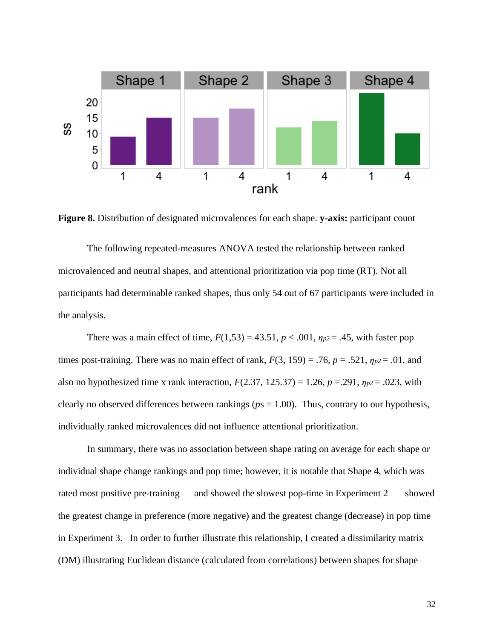

<span id="page-42-0"></span>**Figure 8.** Distribution of designated microvalences for each shape. **y-axis:** participant count

The following repeated-measures ANOVA tested the relationship between ranked microvalenced and neutral shapes, and attentional prioritization via pop time (RT). Not all participants had determinable ranked shapes, thus only 54 out of 67 participants were included in the analysis.

There was a main effect of time,  $F(1,53) = 43.51$ ,  $p < .001$ ,  $\eta_{p2} = .45$ , with faster pop times post-training. There was no main effect of rank,  $F(3, 159) = .76$ ,  $p = .521$ ,  $\eta_{p2} = .01$ , and also no hypothesized time x rank interaction,  $F(2.37, 125.37) = 1.26$ ,  $p = .291$ ,  $\eta_{p2} = .023$ , with clearly no observed differences between rankings (*p*s = 1.00). Thus, contrary to our hypothesis, individually ranked microvalences did not influence attentional prioritization.

In summary, there was no association between shape rating on average for each shape or individual shape change rankings and pop time; however, it is notable that Shape 4, which was rated most positive pre-training — and showed the slowest pop-time in Experiment 2 — showed the greatest change in preference (more negative) and the greatest change (decrease) in pop time in Experiment 3. In order to further illustrate this relationship, I created a dissimilarity matrix (DM) illustrating Euclidean distance (calculated from correlations) between shapes for shape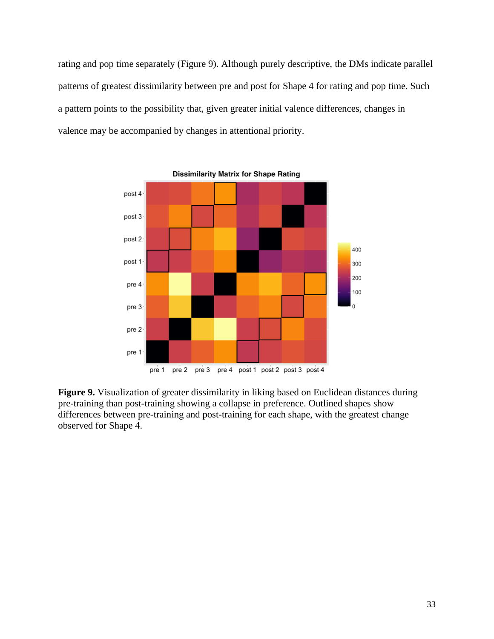rating and pop time separately (Figure 9). Although purely descriptive, the DMs indicate parallel patterns of greatest dissimilarity between pre and post for Shape 4 for rating and pop time. Such a pattern points to the possibility that, given greater initial valence differences, changes in valence may be accompanied by changes in attentional priority.



<span id="page-43-0"></span>**Figure 9.** Visualization of greater dissimilarity in liking based on Euclidean distances during pre-training than post-training showing a collapse in preference. Outlined shapes show differences between pre-training and post-training for each shape, with the greatest change observed for Shape 4.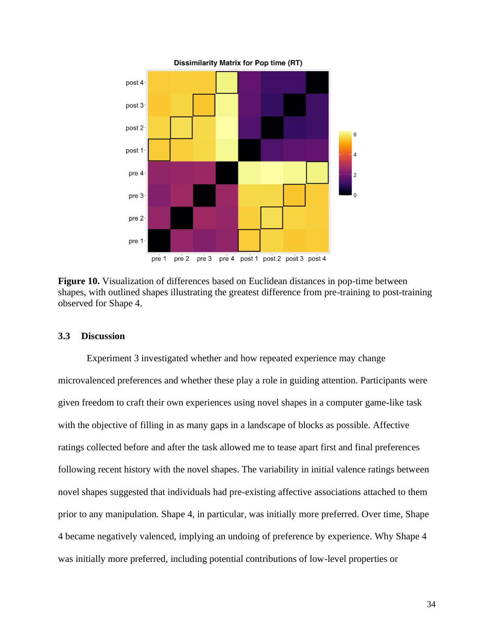

<span id="page-44-1"></span>**Figure 10.** Visualization of differences based on Euclidean distances in pop-time between shapes, with outlined shapes illustrating the greatest difference from pre-training to post-training observed for Shape 4.

#### <span id="page-44-0"></span>**3.3 Discussion**

Experiment 3 investigated whether and how repeated experience may change microvalenced preferences and whether these play a role in guiding attention. Participants were given freedom to craft their own experiences using novel shapes in a computer game-like task with the objective of filling in as many gaps in a landscape of blocks as possible. Affective ratings collected before and after the task allowed me to tease apart first and final preferences following recent history with the novel shapes. The variability in initial valence ratings between novel shapes suggested that individuals had pre-existing affective associations attached to them prior to any manipulation. Shape 4, in particular, was initially more preferred. Over time, Shape 4 became negatively valenced, implying an undoing of preference by experience. Why Shape 4 was initially more preferred, including potential contributions of low-level properties or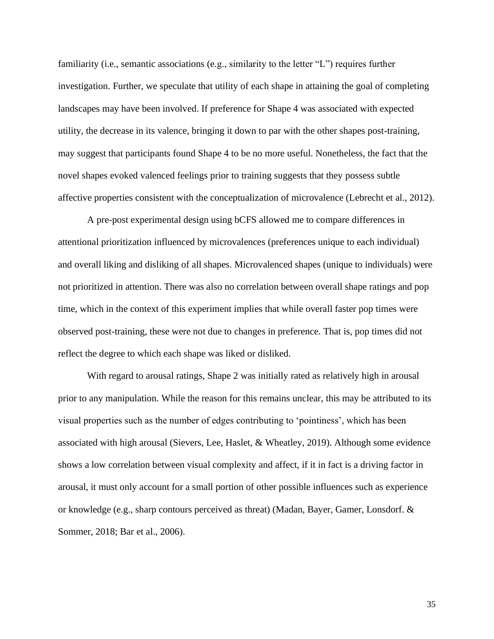familiarity (i.e., semantic associations (e.g., similarity to the letter "L") requires further investigation. Further, we speculate that utility of each shape in attaining the goal of completing landscapes may have been involved. If preference for Shape 4 was associated with expected utility, the decrease in its valence, bringing it down to par with the other shapes post-training, may suggest that participants found Shape 4 to be no more useful. Nonetheless, the fact that the novel shapes evoked valenced feelings prior to training suggests that they possess subtle affective properties consistent with the conceptualization of microvalence (Lebrecht et al., 2012).

A pre-post experimental design using bCFS allowed me to compare differences in attentional prioritization influenced by microvalences (preferences unique to each individual) and overall liking and disliking of all shapes. Microvalenced shapes (unique to individuals) were not prioritized in attention. There was also no correlation between overall shape ratings and pop time, which in the context of this experiment implies that while overall faster pop times were observed post-training, these were not due to changes in preference. That is, pop times did not reflect the degree to which each shape was liked or disliked.

With regard to arousal ratings, Shape 2 was initially rated as relatively high in arousal prior to any manipulation. While the reason for this remains unclear, this may be attributed to its visual properties such as the number of edges contributing to 'pointiness', which has been associated with high arousal (Sievers, Lee, Haslet, & Wheatley, 2019). Although some evidence shows a low correlation between visual complexity and affect, if it in fact is a driving factor in arousal, it must only account for a small portion of other possible influences such as experience or knowledge (e.g., sharp contours perceived as threat) (Madan, Bayer, Gamer, Lonsdorf. & Sommer, 2018; Bar et al., 2006).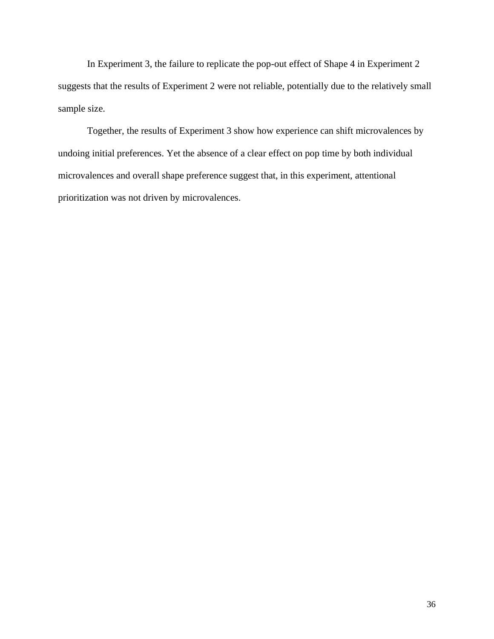In Experiment 3, the failure to replicate the pop-out effect of Shape 4 in Experiment 2 suggests that the results of Experiment 2 were not reliable, potentially due to the relatively small sample size.

Together, the results of Experiment 3 show how experience can shift microvalences by undoing initial preferences. Yet the absence of a clear effect on pop time by both individual microvalences and overall shape preference suggest that, in this experiment, attentional prioritization was not driven by microvalences.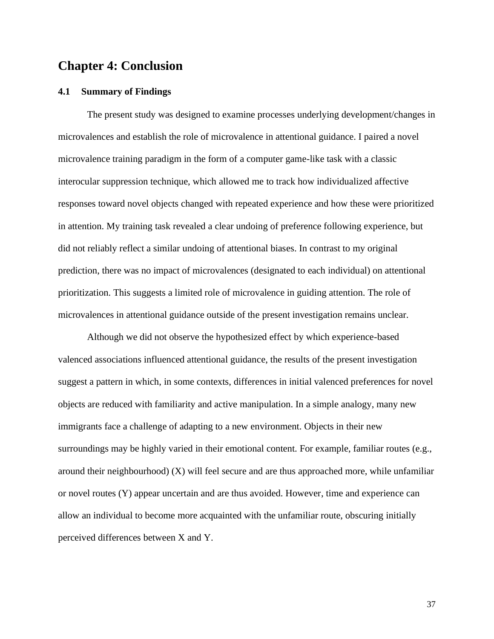# <span id="page-47-0"></span>**Chapter 4: Conclusion**

#### <span id="page-47-1"></span>**4.1 Summary of Findings**

The present study was designed to examine processes underlying development/changes in microvalences and establish the role of microvalence in attentional guidance. I paired a novel microvalence training paradigm in the form of a computer game-like task with a classic interocular suppression technique, which allowed me to track how individualized affective responses toward novel objects changed with repeated experience and how these were prioritized in attention. My training task revealed a clear undoing of preference following experience, but did not reliably reflect a similar undoing of attentional biases. In contrast to my original prediction, there was no impact of microvalences (designated to each individual) on attentional prioritization. This suggests a limited role of microvalence in guiding attention. The role of microvalences in attentional guidance outside of the present investigation remains unclear.

Although we did not observe the hypothesized effect by which experience-based valenced associations influenced attentional guidance, the results of the present investigation suggest a pattern in which, in some contexts, differences in initial valenced preferences for novel objects are reduced with familiarity and active manipulation. In a simple analogy, many new immigrants face a challenge of adapting to a new environment. Objects in their new surroundings may be highly varied in their emotional content. For example, familiar routes (e.g., around their neighbourhood)  $(X)$  will feel secure and are thus approached more, while unfamiliar or novel routes (Y) appear uncertain and are thus avoided. However, time and experience can allow an individual to become more acquainted with the unfamiliar route, obscuring initially perceived differences between X and Y.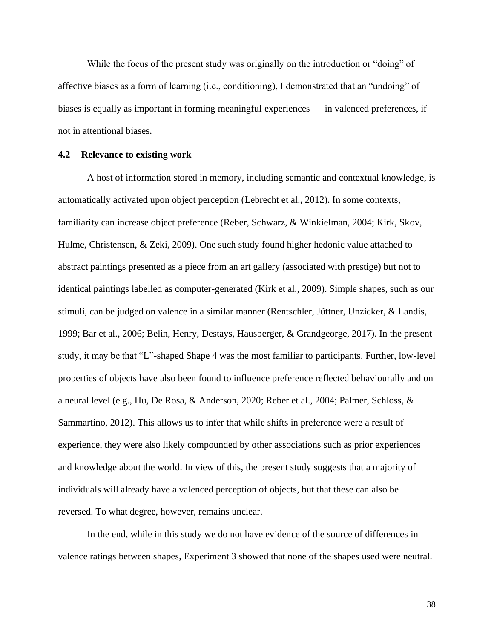While the focus of the present study was originally on the introduction or "doing" of affective biases as a form of learning (i.e., conditioning), I demonstrated that an "undoing" of biases is equally as important in forming meaningful experiences — in valenced preferences, if not in attentional biases.

### <span id="page-48-0"></span>**4.2 Relevance to existing work**

A host of information stored in memory, including semantic and contextual knowledge, is automatically activated upon object perception (Lebrecht et al., 2012). In some contexts, familiarity can increase object preference (Reber, Schwarz, & Winkielman, 2004; Kirk, Skov, Hulme, Christensen, & Zeki, 2009). One such study found higher hedonic value attached to abstract paintings presented as a piece from an art gallery (associated with prestige) but not to identical paintings labelled as computer-generated (Kirk et al., 2009). Simple shapes, such as our stimuli, can be judged on valence in a similar manner (Rentschler, Jüttner, Unzicker, & Landis, 1999; Bar et al., 2006; Belin, Henry, Destays, Hausberger, & Grandgeorge, 2017). In the present study, it may be that "L"-shaped Shape 4 was the most familiar to participants. Further, low-level properties of objects have also been found to influence preference reflected behaviourally and on a neural level (e.g., Hu, De Rosa, & Anderson, 2020; Reber et al., 2004; Palmer, Schloss, & Sammartino, 2012). This allows us to infer that while shifts in preference were a result of experience, they were also likely compounded by other associations such as prior experiences and knowledge about the world. In view of this, the present study suggests that a majority of individuals will already have a valenced perception of objects, but that these can also be reversed. To what degree, however, remains unclear.

In the end, while in this study we do not have evidence of the source of differences in valence ratings between shapes, Experiment 3 showed that none of the shapes used were neutral.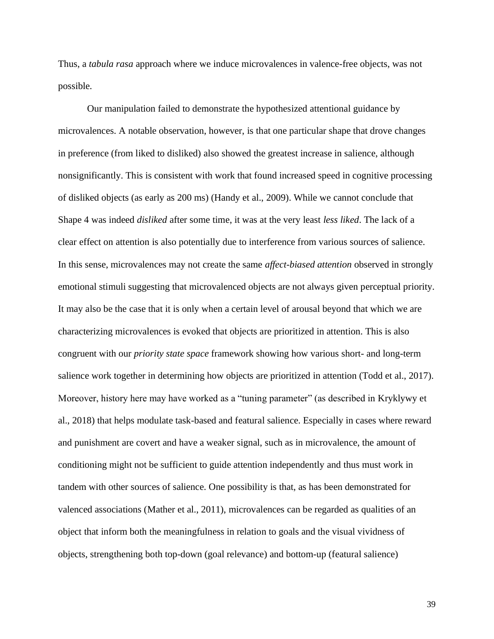Thus, a *tabula rasa* approach where we induce microvalences in valence-free objects, was not possible.

Our manipulation failed to demonstrate the hypothesized attentional guidance by microvalences. A notable observation, however, is that one particular shape that drove changes in preference (from liked to disliked) also showed the greatest increase in salience, although nonsignificantly. This is consistent with work that found increased speed in cognitive processing of disliked objects (as early as 200 ms) (Handy et al., 2009). While we cannot conclude that Shape 4 was indeed *disliked* after some time, it was at the very least *less liked*. The lack of a clear effect on attention is also potentially due to interference from various sources of salience. In this sense, microvalences may not create the same *affect-biased attention* observed in strongly emotional stimuli suggesting that microvalenced objects are not always given perceptual priority. It may also be the case that it is only when a certain level of arousal beyond that which we are characterizing microvalences is evoked that objects are prioritized in attention. This is also congruent with our *priority state space* framework showing how various short- and long-term salience work together in determining how objects are prioritized in attention (Todd et al., 2017). Moreover, history here may have worked as a "tuning parameter" (as described in Kryklywy et al., 2018) that helps modulate task-based and featural salience. Especially in cases where reward and punishment are covert and have a weaker signal, such as in microvalence, the amount of conditioning might not be sufficient to guide attention independently and thus must work in tandem with other sources of salience. One possibility is that, as has been demonstrated for valenced associations (Mather et al., 2011), microvalences can be regarded as qualities of an object that inform both the meaningfulness in relation to goals and the visual vividness of objects, strengthening both top-down (goal relevance) and bottom-up (featural salience)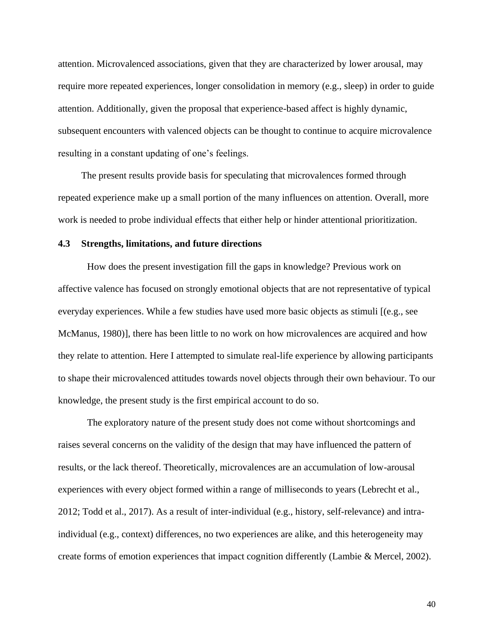attention. Microvalenced associations, given that they are characterized by lower arousal, may require more repeated experiences, longer consolidation in memory (e.g., sleep) in order to guide attention. Additionally, given the proposal that experience-based affect is highly dynamic, subsequent encounters with valenced objects can be thought to continue to acquire microvalence resulting in a constant updating of one's feelings.

The present results provide basis for speculating that microvalences formed through repeated experience make up a small portion of the many influences on attention. Overall, more work is needed to probe individual effects that either help or hinder attentional prioritization.

#### <span id="page-50-0"></span>**4.3 Strengths, limitations, and future directions**

How does the present investigation fill the gaps in knowledge? Previous work on affective valence has focused on strongly emotional objects that are not representative of typical everyday experiences. While a few studies have used more basic objects as stimuli [(e.g., see McManus, 1980)], there has been little to no work on how microvalences are acquired and how they relate to attention. Here I attempted to simulate real-life experience by allowing participants to shape their microvalenced attitudes towards novel objects through their own behaviour. To our knowledge, the present study is the first empirical account to do so.

The exploratory nature of the present study does not come without shortcomings and raises several concerns on the validity of the design that may have influenced the pattern of results, or the lack thereof. Theoretically, microvalences are an accumulation of low-arousal experiences with every object formed within a range of milliseconds to years (Lebrecht et al., 2012; Todd et al., 2017). As a result of inter-individual (e.g., history, self-relevance) and intraindividual (e.g., context) differences, no two experiences are alike, and this heterogeneity may create forms of emotion experiences that impact cognition differently (Lambie & Mercel, 2002).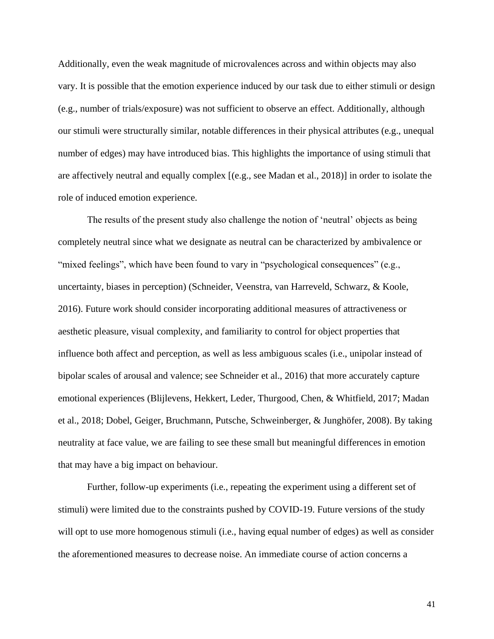Additionally, even the weak magnitude of microvalences across and within objects may also vary. It is possible that the emotion experience induced by our task due to either stimuli or design (e.g., number of trials/exposure) was not sufficient to observe an effect. Additionally, although our stimuli were structurally similar, notable differences in their physical attributes (e.g., unequal number of edges) may have introduced bias. This highlights the importance of using stimuli that are affectively neutral and equally complex [(e.g., see Madan et al., 2018)] in order to isolate the role of induced emotion experience.

The results of the present study also challenge the notion of 'neutral' objects as being completely neutral since what we designate as neutral can be characterized by ambivalence or "mixed feelings", which have been found to vary in "psychological consequences" (e.g., uncertainty, biases in perception) (Schneider, Veenstra, van Harreveld, Schwarz, & Koole, 2016). Future work should consider incorporating additional measures of attractiveness or aesthetic pleasure, visual complexity, and familiarity to control for object properties that influence both affect and perception, as well as less ambiguous scales (i.e., unipolar instead of bipolar scales of arousal and valence; see Schneider et al., 2016) that more accurately capture emotional experiences (Blijlevens, Hekkert, Leder, Thurgood, Chen, & Whitfield, 2017; Madan et al., 2018; Dobel, Geiger, Bruchmann, Putsche, Schweinberger, & Junghöfer, 2008). By taking neutrality at face value, we are failing to see these small but meaningful differences in emotion that may have a big impact on behaviour.

Further, follow-up experiments (i.e., repeating the experiment using a different set of stimuli) were limited due to the constraints pushed by COVID-19. Future versions of the study will opt to use more homogenous stimuli (i.e., having equal number of edges) as well as consider the aforementioned measures to decrease noise. An immediate course of action concerns a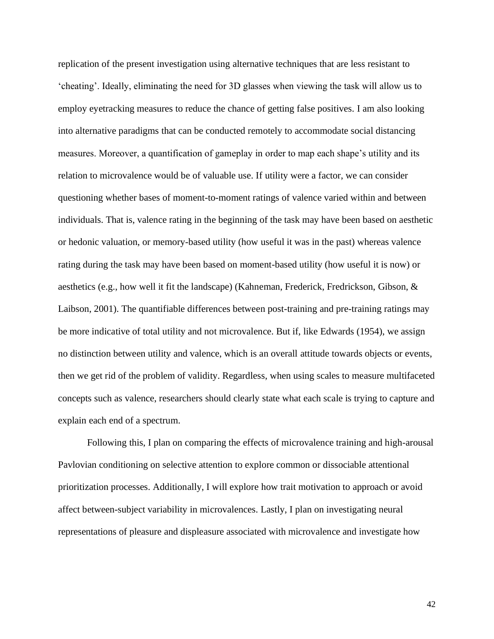replication of the present investigation using alternative techniques that are less resistant to 'cheating'. Ideally, eliminating the need for 3D glasses when viewing the task will allow us to employ eyetracking measures to reduce the chance of getting false positives. I am also looking into alternative paradigms that can be conducted remotely to accommodate social distancing measures. Moreover, a quantification of gameplay in order to map each shape's utility and its relation to microvalence would be of valuable use. If utility were a factor, we can consider questioning whether bases of moment-to-moment ratings of valence varied within and between individuals. That is, valence rating in the beginning of the task may have been based on aesthetic or hedonic valuation, or memory-based utility (how useful it was in the past) whereas valence rating during the task may have been based on moment-based utility (how useful it is now) or aesthetics (e.g., how well it fit the landscape) (Kahneman, Frederick, Fredrickson, Gibson, & Laibson, 2001). The quantifiable differences between post-training and pre-training ratings may be more indicative of total utility and not microvalence. But if, like Edwards (1954), we assign no distinction between utility and valence, which is an overall attitude towards objects or events, then we get rid of the problem of validity. Regardless, when using scales to measure multifaceted concepts such as valence, researchers should clearly state what each scale is trying to capture and explain each end of a spectrum.

Following this, I plan on comparing the effects of microvalence training and high-arousal Pavlovian conditioning on selective attention to explore common or dissociable attentional prioritization processes. Additionally, I will explore how trait motivation to approach or avoid affect between-subject variability in microvalences. Lastly, I plan on investigating neural representations of pleasure and displeasure associated with microvalence and investigate how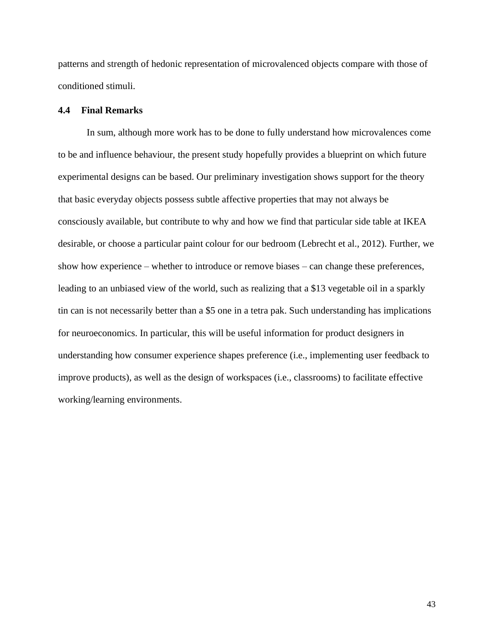patterns and strength of hedonic representation of microvalenced objects compare with those of conditioned stimuli.

## <span id="page-53-0"></span>**4.4 Final Remarks**

In sum, although more work has to be done to fully understand how microvalences come to be and influence behaviour, the present study hopefully provides a blueprint on which future experimental designs can be based. Our preliminary investigation shows support for the theory that basic everyday objects possess subtle affective properties that may not always be consciously available, but contribute to why and how we find that particular side table at IKEA desirable, or choose a particular paint colour for our bedroom (Lebrecht et al., 2012). Further, we show how experience – whether to introduce or remove biases – can change these preferences, leading to an unbiased view of the world, such as realizing that a \$13 vegetable oil in a sparkly tin can is not necessarily better than a \$5 one in a tetra pak. Such understanding has implications for neuroeconomics. In particular, this will be useful information for product designers in understanding how consumer experience shapes preference (i.e., implementing user feedback to improve products), as well as the design of workspaces (i.e., classrooms) to facilitate effective working/learning environments.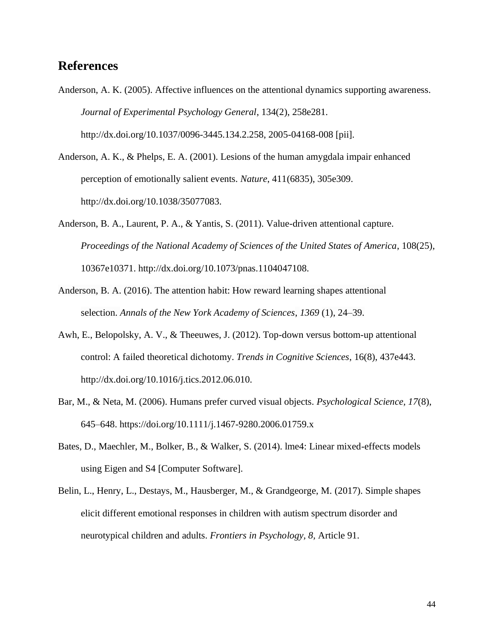# <span id="page-54-0"></span>**References**

Anderson, A. K. (2005). Affective influences on the attentional dynamics supporting awareness. *Journal of Experimental Psychology General*, 134(2), 258e281. http://dx.doi.org/10.1037/0096-3445.134.2.258, 2005-04168-008 [pii].

Anderson, A. K., & Phelps, E. A. (2001). Lesions of the human amygdala impair enhanced perception of emotionally salient events. *Nature*, 411(6835), 305e309. http://dx.doi.org/10.1038/35077083.

- Anderson, B. A., Laurent, P. A., & Yantis, S. (2011). Value-driven attentional capture. *Proceedings of the National Academy of Sciences of the United States of America*, 108(25), 10367e10371. http://dx.doi.org/10.1073/pnas.1104047108.
- Anderson, B. A. (2016). The attention habit: How reward learning shapes attentional selection. *Annals of the New York Academy of Sciences*, *1369* (1), 24–39.
- Awh, E., Belopolsky, A. V., & Theeuwes, J. (2012). Top-down versus bottom-up attentional control: A failed theoretical dichotomy. *Trends in Cognitive Sciences*, 16(8), 437e443. http://dx.doi.org/10.1016/j.tics.2012.06.010.
- Bar, M., & Neta, M. (2006). Humans prefer curved visual objects. *Psychological Science, 17*(8), 645–648. https://doi.org/10.1111/j.1467-9280.2006.01759.x
- Bates, D., Maechler, M., Bolker, B., & Walker, S. (2014). lme4: Linear mixed-effects models using Eigen and S4 [Computer Software].
- Belin, L., Henry, L., Destays, M., Hausberger, M., & Grandgeorge, M. (2017). Simple shapes elicit different emotional responses in children with autism spectrum disorder and neurotypical children and adults. *Frontiers in Psychology, 8,* Article 91.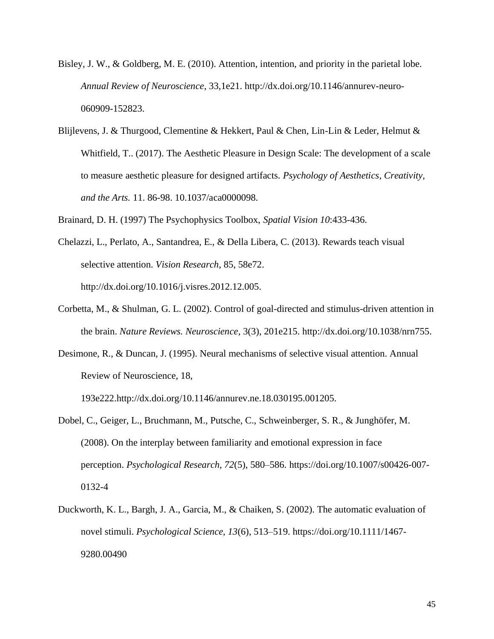- Bisley, J. W., & Goldberg, M. E. (2010). Attention, intention, and priority in the parietal lobe. *Annual Review of Neuroscience*, 33,1e21. http://dx.doi.org/10.1146/annurev-neuro-060909-152823.
- Blijlevens, J. & Thurgood, Clementine & Hekkert, Paul & Chen, Lin-Lin & Leder, Helmut & Whitfield, T.. (2017). The Aesthetic Pleasure in Design Scale: The development of a scale to measure aesthetic pleasure for designed artifacts. *Psychology of Aesthetics*, *Creativity, and the Arts.* 11. 86-98. 10.1037/aca0000098.
- Brainard, D. H. (1997) The Psychophysics Toolbox, *Spatial Vision 10*:433-436.
- Chelazzi, L., Perlato, A., Santandrea, E., & Della Libera, C. (2013). Rewards teach visual selective attention. *Vision Research*, 85, 58e72. http://dx.doi.org/10.1016/j.visres.2012.12.005.
- Corbetta, M., & Shulman, G. L. (2002). Control of goal-directed and stimulus-driven attention in the brain. *Nature Reviews. Neuroscience*, 3(3), 201e215. http://dx.doi.org/10.1038/nrn755.
- Desimone, R., & Duncan, J. (1995). Neural mechanisms of selective visual attention. Annual Review of Neuroscience, 18,

193e222.http://dx.doi.org/10.1146/annurev.ne.18.030195.001205.

- Dobel, C., Geiger, L., Bruchmann, M., Putsche, C., Schweinberger, S. R., & Junghöfer, M. (2008). On the interplay between familiarity and emotional expression in face perception. *Psychological Research, 72*(5), 580–586. https://doi.org/10.1007/s00426-007- 0132-4
- Duckworth, K. L., Bargh, J. A., Garcia, M., & Chaiken, S. (2002). The automatic evaluation of novel stimuli. *Psychological Science, 13*(6), 513–519. https://doi.org/10.1111/1467- 9280.00490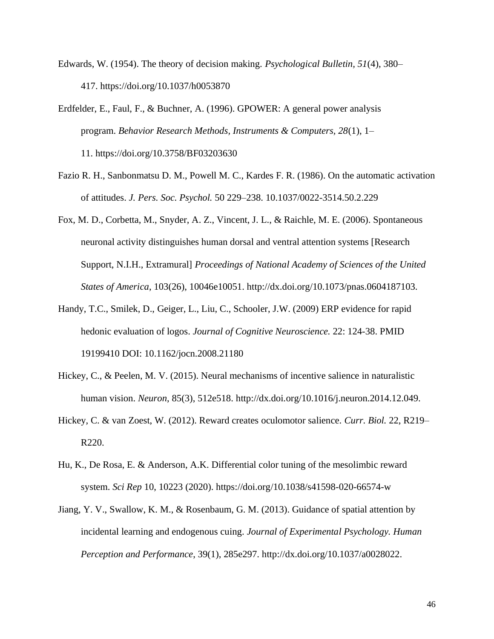- Edwards, W. (1954). The theory of decision making. *Psychological Bulletin, 51*(4), 380– 417. https://doi.org/10.1037/h0053870
- Erdfelder, E., Faul, F., & Buchner, A. (1996). GPOWER: A general power analysis program. *Behavior Research Methods, Instruments & Computers, 28*(1), 1– 11. https://doi.org/10.3758/BF03203630
- Fazio R. H., Sanbonmatsu D. M., Powell M. C., Kardes F. R. (1986). On the automatic activation of attitudes. *J. Pers. Soc. Psychol.* 50 229–238. 10.1037/0022-3514.50.2.229
- Fox, M. D., Corbetta, M., Snyder, A. Z., Vincent, J. L., & Raichle, M. E. (2006). Spontaneous neuronal activity distinguishes human dorsal and ventral attention systems [Research Support, N.I.H., Extramural] *Proceedings of National Academy of Sciences of the United States of America*, 103(26), 10046e10051. http://dx.doi.org/10.1073/pnas.0604187103.
- Handy, T.C., Smilek, D., Geiger, L., Liu, C., Schooler, J.W. (2009) ERP evidence for rapid hedonic evaluation of logos. *Journal of Cognitive Neuroscience.* 22: 124-38. PMID 19199410 DOI: 10.1162/jocn.2008.21180
- Hickey, C., & Peelen, M. V. (2015). Neural mechanisms of incentive salience in naturalistic human vision. *Neuron*, 85(3), 512e518. http://dx.doi.org/10.1016/j.neuron.2014.12.049.
- Hickey, C. & van Zoest, W. (2012). Reward creates oculomotor salience. *Curr. Biol.* 22, R219– R220.
- Hu, K., De Rosa, E. & Anderson, A.K. Differential color tuning of the mesolimbic reward system. *Sci Rep* 10, 10223 (2020). https://doi.org/10.1038/s41598-020-66574-w
- Jiang, Y. V., Swallow, K. M., & Rosenbaum, G. M. (2013). Guidance of spatial attention by incidental learning and endogenous cuing. *Journal of Experimental Psychology. Human Perception and Performance*, 39(1), 285e297. http://dx.doi.org/10.1037/a0028022.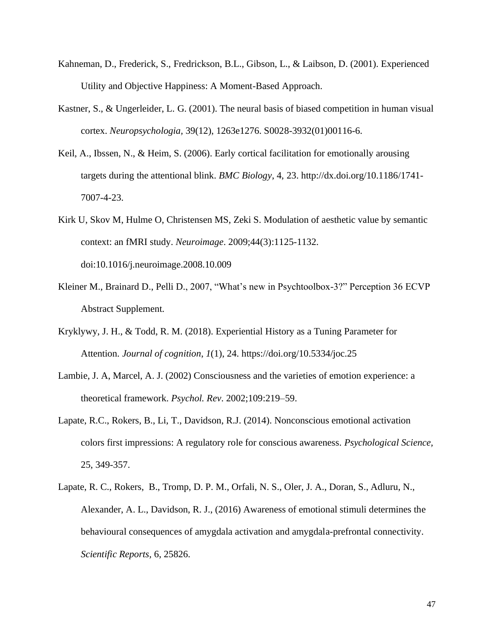- Kahneman, D., Frederick, S., Fredrickson, B.L., Gibson, L., & Laibson, D. (2001). Experienced Utility and Objective Happiness: A Moment-Based Approach.
- Kastner, S., & Ungerleider, L. G. (2001). The neural basis of biased competition in human visual cortex. *Neuropsychologia,* 39(12), 1263e1276. S0028-3932(01)00116-6.
- Keil, A., Ibssen, N., & Heim, S. (2006). Early cortical facilitation for emotionally arousing targets during the attentional blink. *BMC Biology*, 4, 23. http://dx.doi.org/10.1186/1741- 7007-4-23.
- Kirk U, Skov M, Hulme O, Christensen MS, Zeki S. Modulation of aesthetic value by semantic context: an fMRI study. *Neuroimage*. 2009;44(3):1125-1132. doi:10.1016/j.neuroimage.2008.10.009
- Kleiner M., Brainard D., Pelli D., 2007, "What's new in Psychtoolbox-3?" Perception 36 ECVP Abstract Supplement.
- Kryklywy, J. H., & Todd, R. M. (2018). Experiential History as a Tuning Parameter for Attention. *Journal of cognition*, *1*(1), 24. https://doi.org/10.5334/joc.25
- Lambie, J. A, Marcel, A. J. (2002) Consciousness and the varieties of emotion experience: a theoretical framework. *Psychol. Rev*. 2002;109:219–59.
- Lapate, R.C., Rokers, B., Li, T., Davidson, R.J. (2014). Nonconscious emotional activation colors first impressions: A regulatory role for conscious awareness. *Psychological Science,*  25, 349-357.
- Lapate, R. C., Rokers, B., Tromp, D. P. M., Orfali, N. S., Oler, J. A., Doran, S., Adluru, N., Alexander, A. L., Davidson, R. J., (2016) Awareness of emotional stimuli determines the behavioural consequences of amygdala activation and amygdala-prefrontal connectivity. *Scientific Reports,* 6, 25826.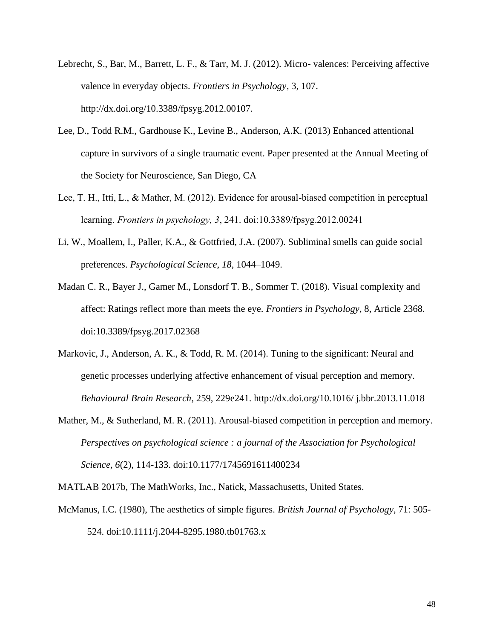- Lebrecht, S., Bar, M., Barrett, L. F., & Tarr, M. J. (2012). Micro- valences: Perceiving affective valence in everyday objects. *Frontiers in Psychology*, 3, 107. http://dx.doi.org/10.3389/fpsyg.2012.00107.
- Lee, D., Todd R.M., Gardhouse K., Levine B., Anderson, A.K. (2013) Enhanced attentional capture in survivors of a single traumatic event. Paper presented at the Annual Meeting of the Society for Neuroscience, San Diego, CA
- Lee, T. H., Itti, L., & Mather, M. (2012). Evidence for arousal-biased competition in perceptual learning. *Frontiers in psychology, 3*, 241. doi:10.3389/fpsyg.2012.00241
- Li, W., Moallem, I., Paller, K.A., & Gottfried, J.A. (2007). Subliminal smells can guide social preferences. *Psychological Science*, *18*, 1044–1049.
- Madan C. R., Bayer J., Gamer M., Lonsdorf T. B., Sommer T. (2018). Visual complexity and affect: Ratings reflect more than meets the eye. *Frontiers in Psychology*, 8, Article 2368. doi:10.3389/fpsyg.2017.02368
- Markovic, J., Anderson, A. K., & Todd, R. M. (2014). Tuning to the significant: Neural and genetic processes underlying affective enhancement of visual perception and memory. *Behavioural Brain Research*, 259, 229e241. http://dx.doi.org/10.1016/ j.bbr.2013.11.018
- Mather, M., & Sutherland, M. R. (2011). Arousal-biased competition in perception and memory. *Perspectives on psychological science : a journal of the Association for Psychological Science, 6*(2), 114-133. doi:10.1177/1745691611400234

MATLAB 2017b, The MathWorks, Inc., Natick, Massachusetts, United States.

McManus, I.C. (1980), The aesthetics of simple figures. *British Journal of Psychology,* 71: 505- 524. doi:10.1111/j.2044-8295.1980.tb01763.x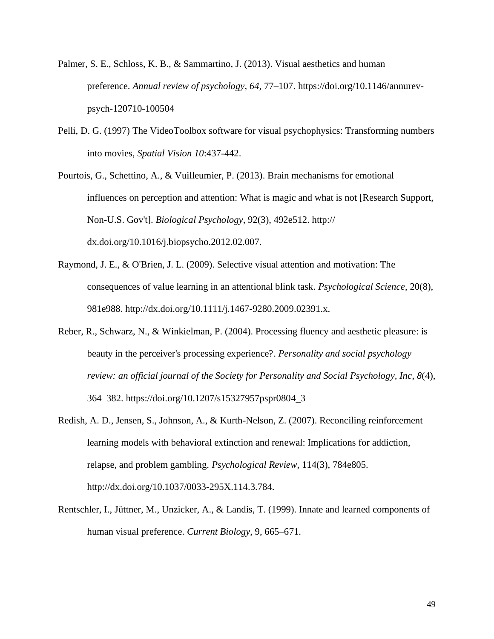- Palmer, S. E., Schloss, K. B., & Sammartino, J. (2013). Visual aesthetics and human preference. *Annual review of psychology*, *64*, 77–107. https://doi.org/10.1146/annurevpsych-120710-100504
- Pelli, D. G. (1997) The VideoToolbox software for visual psychophysics: Transforming numbers into movies, *Spatial Vision 10*:437-442.
- Pourtois, G., Schettino, A., & Vuilleumier, P. (2013). Brain mechanisms for emotional influences on perception and attention: What is magic and what is not [Research Support, Non-U.S. Gov't]. *Biological Psychology*, 92(3), 492e512. http:// dx.doi.org/10.1016/j.biopsycho.2012.02.007.
- Raymond, J. E., & O'Brien, J. L. (2009). Selective visual attention and motivation: The consequences of value learning in an attentional blink task. *Psychological Science*, 20(8), 981e988. http://dx.doi.org/10.1111/j.1467-9280.2009.02391.x.
- Reber, R., Schwarz, N., & Winkielman, P. (2004). Processing fluency and aesthetic pleasure: is beauty in the perceiver's processing experience?. *Personality and social psychology review: an official journal of the Society for Personality and Social Psychology, Inc*, *8*(4), 364–382. https://doi.org/10.1207/s15327957pspr0804\_3
- Redish, A. D., Jensen, S., Johnson, A., & Kurth-Nelson, Z. (2007). Reconciling reinforcement learning models with behavioral extinction and renewal: Implications for addiction, relapse, and problem gambling. *Psychological Review*, 114(3), 784e805. http://dx.doi.org/10.1037/0033-295X.114.3.784.
- Rentschler, I., Jüttner, M., Unzicker, A., & Landis, T. (1999). Innate and learned components of human visual preference. *Current Biology*, 9, 665–671.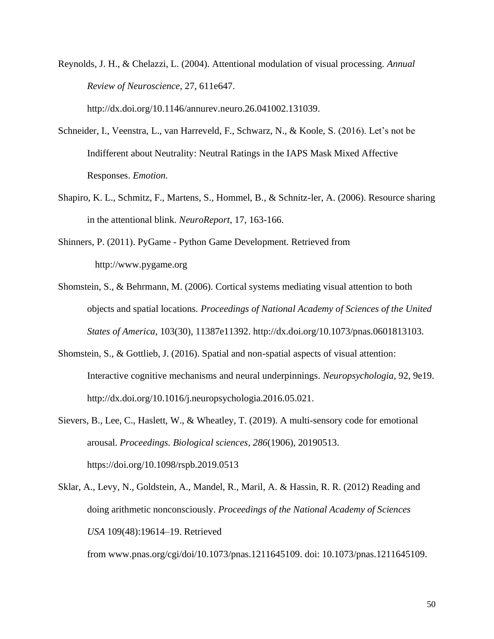Reynolds, J. H., & Chelazzi, L. (2004). Attentional modulation of visual processing. *Annual Review of Neuroscience*, 27, 611e647. http://dx.doi.org/10.1146/annurev.neuro.26.041002.131039.

Schneider, I., Veenstra, L., van Harreveld, F., Schwarz, N., & Koole, S. (2016). Let's not be Indifferent about Neutrality: Neutral Ratings in the IAPS Mask Mixed Affective Responses. *Emotion.*

- Shapiro, K. L., Schmitz, F., Martens, S., Hommel, B., & Schnitz-ler, A. (2006). Resource sharing in the attentional blink. *NeuroReport*, 17, 163-166.
- Shinners, P. (2011). PyGame Python Game Development. Retrieved from http://www.pygame.org
- Shomstein, S., & Behrmann, M. (2006). Cortical systems mediating visual attention to both objects and spatial locations*. Proceedings of National Academy of Sciences of the United States of America*, 103(30), 11387e11392. http://dx.doi.org/10.1073/pnas.0601813103.
- Shomstein, S., & Gottlieb, J. (2016). Spatial and non-spatial aspects of visual attention: Interactive cognitive mechanisms and neural underpinnings. *Neuropsychologia*, 92, 9e19. http://dx.doi.org/10.1016/j.neuropsychologia.2016.05.021.
- Sievers, B., Lee, C., Haslett, W., & Wheatley, T. (2019). A multi-sensory code for emotional arousal. *Proceedings. Biological sciences*, *286*(1906), 20190513. https://doi.org/10.1098/rspb.2019.0513
- Sklar, A., Levy, N., Goldstein, A., Mandel, R., Maril, A. & Hassin, R. R. (2012) Reading and doing arithmetic nonconsciously. *Proceedings of the National Academy of Sciences USA* 109(48):19614–19. Retrieved

from www.pnas.org/cgi/doi/10.1073/pnas.1211645109. doi: 10.1073/pnas.1211645109.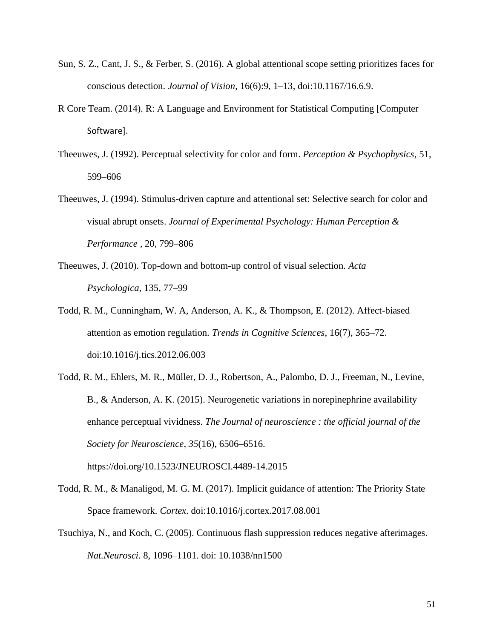- Sun, S. Z., Cant, J. S., & Ferber, S. (2016). A global attentional scope setting prioritizes faces for conscious detection. *Journal of Vision*, 16(6):9, 1–13, doi:10.1167/16.6.9.
- R Core Team. (2014). R: A Language and Environment for Statistical Computing [Computer Software].
- Theeuwes, J. (1992). Perceptual selectivity for color and form. *Perception & Psychophysics*, 51, 599–606
- Theeuwes, J. (1994). Stimulus-driven capture and attentional set: Selective search for color and visual abrupt onsets. *Journal of Experimental Psychology: Human Perception & Performance ,* 20*,* 799–806
- Theeuwes, J. (2010). Top-down and bottom-up control of visual selection. *Acta Psychologica*, 135, 77–99
- Todd, R. M., Cunningham, W. A, Anderson, A. K., & Thompson, E. (2012). Affect-biased attention as emotion regulation. *Trends in Cognitive Sciences*, 16(7), 365–72. doi:10.1016/j.tics.2012.06.003
- Todd, R. M., Ehlers, M. R., Müller, D. J., Robertson, A., Palombo, D. J., Freeman, N., Levine, B., & Anderson, A. K. (2015). Neurogenetic variations in norepinephrine availability enhance perceptual vividness. *The Journal of neuroscience : the official journal of the Society for Neuroscience*, *35*(16), 6506–6516. https://doi.org/10.1523/JNEUROSCI.4489-14.2015
- Todd, R. M., & Manaligod, M. G. M. (2017). Implicit guidance of attention: The Priority State Space framework*. Cortex*. doi:10.1016/j.cortex.2017.08.001
- Tsuchiya, N., and Koch, C. (2005). Continuous flash suppression reduces negative afterimages. *Nat.Neurosci*. 8, 1096–1101. doi: 10.1038/nn1500